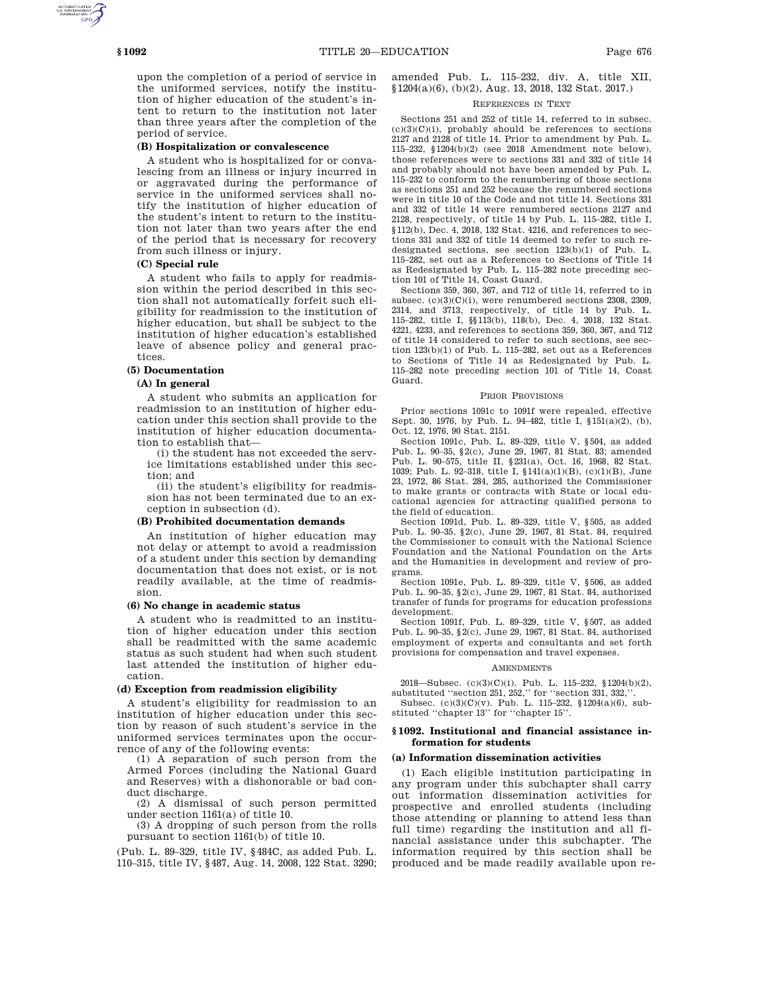upon the completion of a period of service in the uniformed services, notify the institution of higher education of the student's intent to return to the institution not later than three years after the completion of the period of service.

# **(B) Hospitalization or convalescence**

A student who is hospitalized for or convalescing from an illness or injury incurred in or aggravated during the performance of service in the uniformed services shall notify the institution of higher education of the student's intent to return to the institution not later than two years after the end of the period that is necessary for recovery from such illness or injury.

# **(C) Special rule**

A student who fails to apply for readmission within the period described in this section shall not automatically forfeit such eligibility for readmission to the institution of higher education, but shall be subject to the institution of higher education's established leave of absence policy and general practices.

## **(5) Documentation**

## **(A) In general**

A student who submits an application for readmission to an institution of higher education under this section shall provide to the institution of higher education documentation to establish that—

(i) the student has not exceeded the service limitations established under this section; and

(ii) the student's eligibility for readmission has not been terminated due to an exception in subsection (d).

### **(B) Prohibited documentation demands**

An institution of higher education may not delay or attempt to avoid a readmission of a student under this section by demanding documentation that does not exist, or is not readily available, at the time of readmission.

### **(6) No change in academic status**

A student who is readmitted to an institution of higher education under this section shall be readmitted with the same academic status as such student had when such student last attended the institution of higher education.

# **(d) Exception from readmission eligibility**

A student's eligibility for readmission to an institution of higher education under this section by reason of such student's service in the uniformed services terminates upon the occurrence of any of the following events:

(1) A separation of such person from the Armed Forces (including the National Guard and Reserves) with a dishonorable or bad conduct discharge.

(2) A dismissal of such person permitted under section 1161(a) of title 10.

(3) A dropping of such person from the rolls pursuant to section 1161(b) of title 10.

(Pub. L. 89–329, title IV, §484C, as added Pub. L. 110–315, title IV, §487, Aug. 14, 2008, 122 Stat. 3290; amended Pub. L. 115–232, div. A, title XII, §1204(a)(6), (b)(2), Aug. 13, 2018, 132 Stat. 2017.)

### REFERENCES IN TEXT

Sections 251 and 252 of title 14, referred to in subsec.  $(c)(3)(C)(i)$ , probably should be references to sections 2127 and 2128 of title 14. Prior to amendment by Pub. L. 115–232, §1204(b)(2) (see 2018 Amendment note below), those references were to sections 331 and 332 of title 14 and probably should not have been amended by Pub. L. 115–232 to conform to the renumbering of those sections as sections 251 and 252 because the renumbered sections were in title 10 of the Code and not title 14. Sections 331 and 332 of title 14 were renumbered sections 2127 and 2128, respectively, of title 14 by Pub. L. 115–282, title I, §112(b), Dec. 4, 2018, 132 Stat. 4216, and references to sections 331 and 332 of title 14 deemed to refer to such redesignated sections, see section 123(b)(1) of Pub. L. 115–282, set out as a References to Sections of Title 14 as Redesignated by Pub. L. 115–282 note preceding section 101 of Title 14, Coast Guard.

Sections 359, 360, 367, and 712 of title 14, referred to in subsec. (c)(3)(C)(i), were renumbered sections 2308, 2309, 2314, and 3713, respectively, of title 14 by Pub. L. 115–282, title I, §§113(b), 118(b), Dec. 4, 2018, 132 Stat. 4221, 4233, and references to sections 359, 360, 367, and 712 of title 14 considered to refer to such sections, see section 123(b)(1) of Pub. L. 115–282, set out as a References to Sections of Title 14 as Redesignated by Pub. L. 115–282 note preceding section 101 of Title 14, Coast Guard.

#### PRIOR PROVISIONS

Prior sections 1091c to 1091f were repealed, effective Sept. 30, 1976, by Pub. L. 94–482, title I, §151(a)(2), (b), Oct. 12, 1976, 90 Stat. 2151.

Section 1091c, Pub. L. 89–329, title V, §504, as added Pub. L. 90–35, §2(c), June 29, 1967, 81 Stat. 83; amended Pub. L. 90–575, title II, §231(a), Oct. 16, 1968, 82 Stat. 1039; Pub. L. 92–318, title I, §141(a)(1)(B), (c)(1)(B), June 23, 1972, 86 Stat. 284, 285, authorized the Commissioner to make grants or contracts with State or local educational agencies for attracting qualified persons to the field of education.

Section 1091d, Pub. L. 89–329, title V, §505, as added Pub. L. 90–35, §2(c), June 29, 1967, 81 Stat. 84, required the Commissioner to consult with the National Science Foundation and the National Foundation on the Arts and the Humanities in development and review of programs.

Section 1091e, Pub. L. 89–329, title V, §506, as added Pub. L. 90–35, §2(c), June 29, 1967, 81 Stat. 84, authorized transfer of funds for programs for education professions development.

Section 1091f, Pub. L. 89–329, title V, §507, as added Pub. L. 90–35, §2(c), June 29, 1967, 81 Stat. 84, authorized employment of experts and consultants and set forth provisions for compensation and travel expenses.

#### AMENDMENTS

2018—Subsec. (c)(3)(C)(i). Pub. L. 115–232, §1204(b)(2), substituted ''section 251, 252,'' for ''section 331, 332,''.

Subsec.  $(c)(3)(C)(v)$ . Pub. L. 115–232, §1204(a)(6), substituted ''chapter 13'' for ''chapter 15''.

## **§ 1092. Institutional and financial assistance information for students**

### **(a) Information dissemination activities**

(1) Each eligible institution participating in any program under this subchapter shall carry out information dissemination activities for prospective and enrolled students (including those attending or planning to attend less than full time) regarding the institution and all financial assistance under this subchapter. The information required by this section shall be produced and be made readily available upon re-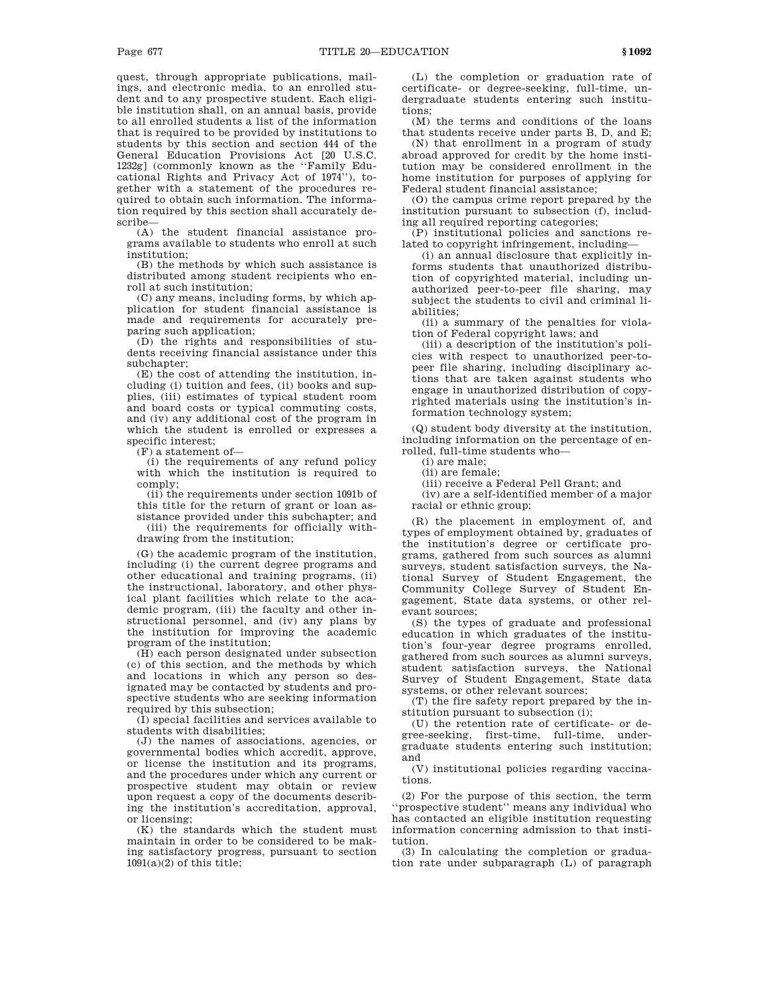quest, through appropriate publications, mailings, and electronic media, to an enrolled student and to any prospective student. Each eligible institution shall, on an annual basis, provide to all enrolled students a list of the information that is required to be provided by institutions to students by this section and section 444 of the General Education Provisions Act [20 U.S.C. 1232g] (commonly known as the ''Family Educational Rights and Privacy Act of 1974''), together with a statement of the procedures required to obtain such information. The information required by this section shall accurately describe—

(A) the student financial assistance programs available to students who enroll at such institution;

(B) the methods by which such assistance is distributed among student recipients who enroll at such institution;

(C) any means, including forms, by which application for student financial assistance is made and requirements for accurately preparing such application;

(D) the rights and responsibilities of students receiving financial assistance under this subchapter;

(E) the cost of attending the institution, including (i) tuition and fees, (ii) books and supplies, (iii) estimates of typical student room and board costs or typical commuting costs, and (iv) any additional cost of the program in which the student is enrolled or expresses a specific interest;

(F) a statement of—

(i) the requirements of any refund policy with which the institution is required to comply;

(ii) the requirements under section 1091b of this title for the return of grant or loan assistance provided under this subchapter; and

(iii) the requirements for officially withdrawing from the institution;

(G) the academic program of the institution, including (i) the current degree programs and other educational and training programs, (ii) the instructional, laboratory, and other physical plant facilities which relate to the academic program, (iii) the faculty and other instructional personnel, and (iv) any plans by the institution for improving the academic program of the institution;

(H) each person designated under subsection (c) of this section, and the methods by which and locations in which any person so designated may be contacted by students and prospective students who are seeking information required by this subsection;

(I) special facilities and services available to students with disabilities;

(J) the names of associations, agencies, or governmental bodies which accredit, approve, or license the institution and its programs, and the procedures under which any current or prospective student may obtain or review upon request a copy of the documents describing the institution's accreditation, approval, or licensing;

(K) the standards which the student must maintain in order to be considered to be making satisfactory progress, pursuant to section  $1091(a)(2)$  of this title;

(L) the completion or graduation rate of certificate- or degree-seeking, full-time, undergraduate students entering such institutions;

(M) the terms and conditions of the loans that students receive under parts B, D, and E;

(N) that enrollment in a program of study abroad approved for credit by the home institution may be considered enrollment in the home institution for purposes of applying for Federal student financial assistance;

(O) the campus crime report prepared by the institution pursuant to subsection (f), including all required reporting categories;

(P) institutional policies and sanctions related to copyright infringement, including—

(i) an annual disclosure that explicitly informs students that unauthorized distribution of copyrighted material, including unauthorized peer-to-peer file sharing, may subject the students to civil and criminal liabilities;

(ii) a summary of the penalties for violation of Federal copyright laws; and

(iii) a description of the institution's policies with respect to unauthorized peer-topeer file sharing, including disciplinary actions that are taken against students who engage in unauthorized distribution of copyrighted materials using the institution's information technology system;

(Q) student body diversity at the institution, including information on the percentage of enrolled, full-time students who—

(i) are male;

(ii) are female;

(iii) receive a Federal Pell Grant; and

(iv) are a self-identified member of a major racial or ethnic group;

(R) the placement in employment of, and types of employment obtained by, graduates of the institution's degree or certificate programs, gathered from such sources as alumni surveys, student satisfaction surveys, the National Survey of Student Engagement, the Community College Survey of Student Engagement, State data systems, or other relevant sources;

(S) the types of graduate and professional education in which graduates of the institution's four-year degree programs enrolled, gathered from such sources as alumni surveys, student satisfaction surveys, the National Survey of Student Engagement, State data systems, or other relevant sources;

(T) the fire safety report prepared by the institution pursuant to subsection (i);

(U) the retention rate of certificate- or degree-seeking, first-time, full-time, undergraduate students entering such institution; and

(V) institutional policies regarding vaccinations.

(2) For the purpose of this section, the term ''prospective student'' means any individual who has contacted an eligible institution requesting information concerning admission to that institution.

(3) In calculating the completion or graduation rate under subparagraph (L) of paragraph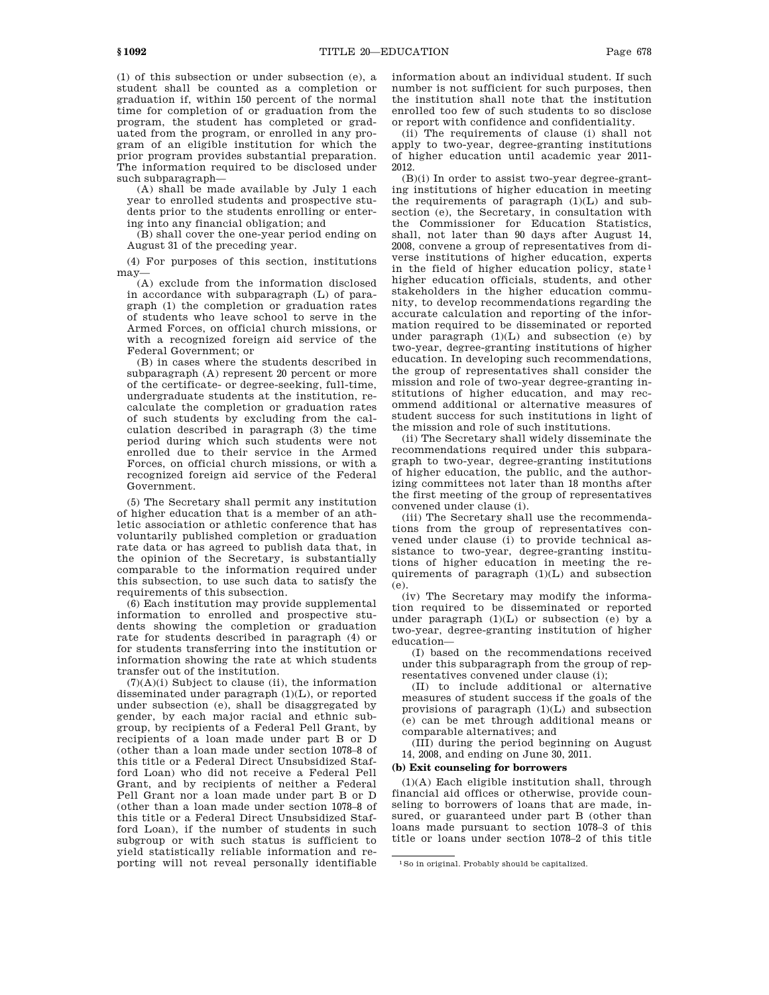(1) of this subsection or under subsection (e), a student shall be counted as a completion or graduation if, within 150 percent of the normal time for completion of or graduation from the program, the student has completed or graduated from the program, or enrolled in any program of an eligible institution for which the prior program provides substantial preparation. The information required to be disclosed under such subparagraph—

(A) shall be made available by July 1 each year to enrolled students and prospective students prior to the students enrolling or entering into any financial obligation; and

(B) shall cover the one-year period ending on August 31 of the preceding year.

(4) For purposes of this section, institutions may—

(A) exclude from the information disclosed in accordance with subparagraph (L) of paragraph (1) the completion or graduation rates of students who leave school to serve in the Armed Forces, on official church missions, or with a recognized foreign aid service of the Federal Government; or

(B) in cases where the students described in subparagraph (A) represent 20 percent or more of the certificate- or degree-seeking, full-time, undergraduate students at the institution, recalculate the completion or graduation rates of such students by excluding from the calculation described in paragraph (3) the time period during which such students were not enrolled due to their service in the Armed Forces, on official church missions, or with a recognized foreign aid service of the Federal Government.

(5) The Secretary shall permit any institution of higher education that is a member of an athletic association or athletic conference that has voluntarily published completion or graduation rate data or has agreed to publish data that, in the opinion of the Secretary, is substantially comparable to the information required under this subsection, to use such data to satisfy the requirements of this subsection.

(6) Each institution may provide supplemental information to enrolled and prospective students showing the completion or graduation rate for students described in paragraph (4) or for students transferring into the institution or information showing the rate at which students transfer out of the institution.

(7)(A)(i) Subject to clause (ii), the information disseminated under paragraph (1)(L), or reported under subsection (e), shall be disaggregated by gender, by each major racial and ethnic subgroup, by recipients of a Federal Pell Grant, by recipients of a loan made under part B or D (other than a loan made under section 1078–8 of this title or a Federal Direct Unsubsidized Stafford Loan) who did not receive a Federal Pell Grant, and by recipients of neither a Federal Pell Grant nor a loan made under part B or D (other than a loan made under section 1078–8 of this title or a Federal Direct Unsubsidized Stafford Loan), if the number of students in such subgroup or with such status is sufficient to yield statistically reliable information and reporting will not reveal personally identifiable

information about an individual student. If such number is not sufficient for such purposes, then the institution shall note that the institution enrolled too few of such students to so disclose or report with confidence and confidentiality.

(ii) The requirements of clause (i) shall not apply to two-year, degree-granting institutions of higher education until academic year 2011- 2012.

(B)(i) In order to assist two-year degree-granting institutions of higher education in meeting the requirements of paragraph  $(1)(L)$  and subsection (e), the Secretary, in consultation with the Commissioner for Education Statistics, shall, not later than 90 days after August 14, 2008, convene a group of representatives from diverse institutions of higher education, experts in the field of higher education policy, state<sup>1</sup> higher education officials, students, and other stakeholders in the higher education community, to develop recommendations regarding the accurate calculation and reporting of the information required to be disseminated or reported under paragraph (1)(L) and subsection (e) by two-year, degree-granting institutions of higher education. In developing such recommendations, the group of representatives shall consider the mission and role of two-year degree-granting institutions of higher education, and may recommend additional or alternative measures of student success for such institutions in light of the mission and role of such institutions.

(ii) The Secretary shall widely disseminate the recommendations required under this subparagraph to two-year, degree-granting institutions of higher education, the public, and the authorizing committees not later than 18 months after the first meeting of the group of representatives convened under clause (i).

(iii) The Secretary shall use the recommendations from the group of representatives convened under clause (i) to provide technical assistance to two-year, degree-granting institutions of higher education in meeting the requirements of paragraph (1)(L) and subsection (e).

(iv) The Secretary may modify the information required to be disseminated or reported under paragraph  $(1)(L)$  or subsection (e) by a two-year, degree-granting institution of higher education—

(I) based on the recommendations received under this subparagraph from the group of representatives convened under clause (i);

(II) to include additional or alternative measures of student success if the goals of the provisions of paragraph  $(1)(L)$  and subsection (e) can be met through additional means or comparable alternatives; and

(III) during the period beginning on August 14, 2008, and ending on June 30, 2011.

### **(b) Exit counseling for borrowers**

(1)(A) Each eligible institution shall, through financial aid offices or otherwise, provide counseling to borrowers of loans that are made, insured, or guaranteed under part B (other than loans made pursuant to section 1078–3 of this title or loans under section 1078–2 of this title

<sup>1</sup>So in original. Probably should be capitalized.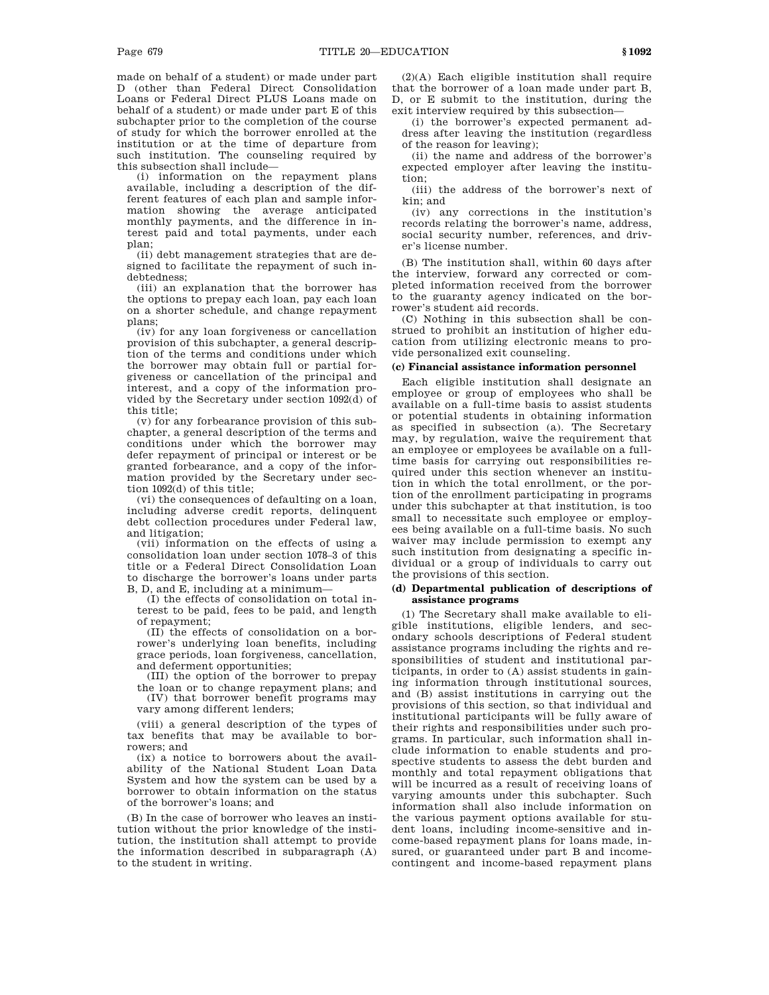made on behalf of a student) or made under part D (other than Federal Direct Consolidation Loans or Federal Direct PLUS Loans made on behalf of a student) or made under part E of this subchapter prior to the completion of the course of study for which the borrower enrolled at the institution or at the time of departure from such institution. The counseling required by this subsection shall include—

(i) information on the repayment plans available, including a description of the different features of each plan and sample information showing the average anticipated monthly payments, and the difference in interest paid and total payments, under each plan;

(ii) debt management strategies that are designed to facilitate the repayment of such indebtedness;

(iii) an explanation that the borrower has the options to prepay each loan, pay each loan on a shorter schedule, and change repayment plans;

(iv) for any loan forgiveness or cancellation provision of this subchapter, a general description of the terms and conditions under which the borrower may obtain full or partial forgiveness or cancellation of the principal and interest, and a copy of the information provided by the Secretary under section 1092(d) of this title;

(v) for any forbearance provision of this subchapter, a general description of the terms and conditions under which the borrower may defer repayment of principal or interest or be granted forbearance, and a copy of the information provided by the Secretary under section 1092(d) of this title;

(vi) the consequences of defaulting on a loan, including adverse credit reports, delinquent debt collection procedures under Federal law, and litigation;

(vii) information on the effects of using a consolidation loan under section 1078–3 of this title or a Federal Direct Consolidation Loan to discharge the borrower's loans under parts B, D, and E, including at a minimum—

(I) the effects of consolidation on total interest to be paid, fees to be paid, and length of repayment;

(II) the effects of consolidation on a borrower's underlying loan benefits, including grace periods, loan forgiveness, cancellation, and deferment opportunities;

(III) the option of the borrower to prepay

the loan or to change repayment plans; and (IV) that borrower benefit programs may vary among different lenders;

(viii) a general description of the types of tax benefits that may be available to borrowers; and

(ix) a notice to borrowers about the availability of the National Student Loan Data System and how the system can be used by a borrower to obtain information on the status of the borrower's loans; and

(B) In the case of borrower who leaves an institution without the prior knowledge of the institution, the institution shall attempt to provide the information described in subparagraph (A) to the student in writing.

(2)(A) Each eligible institution shall require that the borrower of a loan made under part B, D, or E submit to the institution, during the exit interview required by this subsection—

(i) the borrower's expected permanent address after leaving the institution (regardless of the reason for leaving);

(ii) the name and address of the borrower's expected employer after leaving the institution;

(iii) the address of the borrower's next of kin; and

(iv) any corrections in the institution's records relating the borrower's name, address, social security number, references, and driver's license number.

(B) The institution shall, within 60 days after the interview, forward any corrected or completed information received from the borrower to the guaranty agency indicated on the borrower's student aid records.

(C) Nothing in this subsection shall be construed to prohibit an institution of higher education from utilizing electronic means to provide personalized exit counseling.

# **(c) Financial assistance information personnel**

Each eligible institution shall designate an employee or group of employees who shall be available on a full-time basis to assist students or potential students in obtaining information as specified in subsection (a). The Secretary may, by regulation, waive the requirement that an employee or employees be available on a fulltime basis for carrying out responsibilities required under this section whenever an institution in which the total enrollment, or the portion of the enrollment participating in programs under this subchapter at that institution, is too small to necessitate such employee or employees being available on a full-time basis. No such waiver may include permission to exempt any such institution from designating a specific individual or a group of individuals to carry out the provisions of this section.

# **(d) Departmental publication of descriptions of assistance programs**

(1) The Secretary shall make available to eligible institutions, eligible lenders, and secondary schools descriptions of Federal student assistance programs including the rights and responsibilities of student and institutional participants, in order to (A) assist students in gaining information through institutional sources, and (B) assist institutions in carrying out the provisions of this section, so that individual and institutional participants will be fully aware of their rights and responsibilities under such programs. In particular, such information shall include information to enable students and prospective students to assess the debt burden and monthly and total repayment obligations that will be incurred as a result of receiving loans of varying amounts under this subchapter. Such information shall also include information on the various payment options available for student loans, including income-sensitive and income-based repayment plans for loans made, insured, or guaranteed under part B and incomecontingent and income-based repayment plans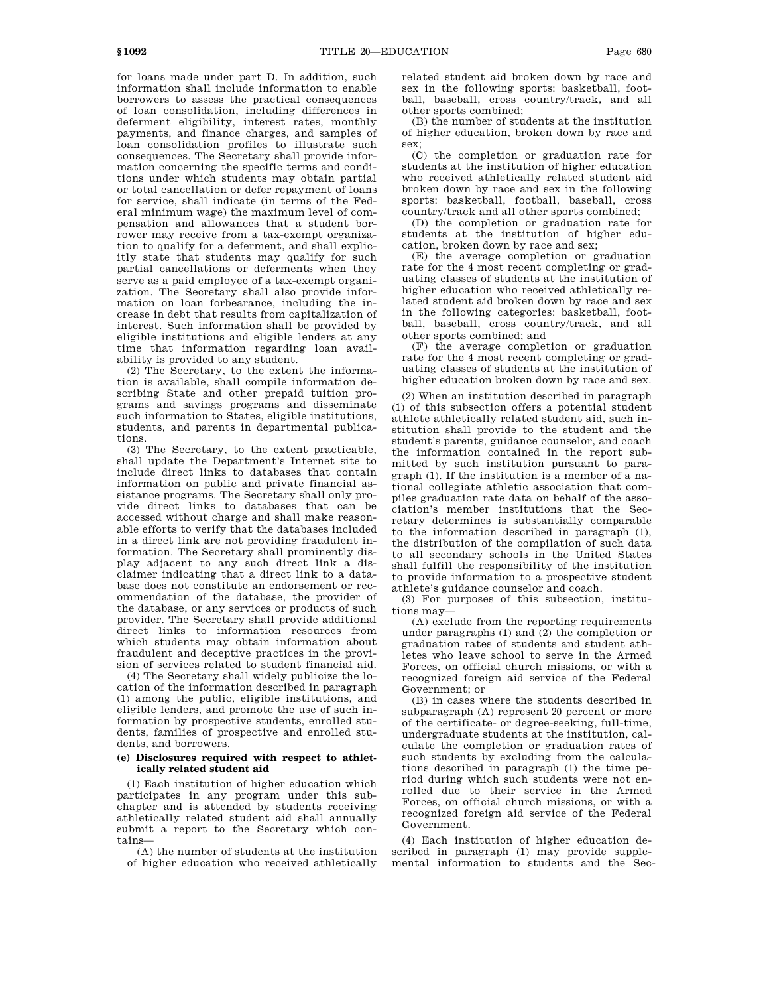for loans made under part D. In addition, such information shall include information to enable borrowers to assess the practical consequences of loan consolidation, including differences in deferment eligibility, interest rates, monthly payments, and finance charges, and samples of loan consolidation profiles to illustrate such consequences. The Secretary shall provide information concerning the specific terms and conditions under which students may obtain partial or total cancellation or defer repayment of loans for service, shall indicate (in terms of the Federal minimum wage) the maximum level of compensation and allowances that a student borrower may receive from a tax-exempt organization to qualify for a deferment, and shall explicitly state that students may qualify for such partial cancellations or deferments when they serve as a paid employee of a tax-exempt organization. The Secretary shall also provide information on loan forbearance, including the increase in debt that results from capitalization of interest. Such information shall be provided by eligible institutions and eligible lenders at any time that information regarding loan availability is provided to any student.

(2) The Secretary, to the extent the information is available, shall compile information describing State and other prepaid tuition programs and savings programs and disseminate such information to States, eligible institutions, students, and parents in departmental publications.

(3) The Secretary, to the extent practicable, shall update the Department's Internet site to include direct links to databases that contain information on public and private financial assistance programs. The Secretary shall only provide direct links to databases that can be accessed without charge and shall make reasonable efforts to verify that the databases included in a direct link are not providing fraudulent information. The Secretary shall prominently display adjacent to any such direct link a disclaimer indicating that a direct link to a database does not constitute an endorsement or recommendation of the database, the provider of the database, or any services or products of such provider. The Secretary shall provide additional direct links to information resources from which students may obtain information about fraudulent and deceptive practices in the provision of services related to student financial aid.

(4) The Secretary shall widely publicize the location of the information described in paragraph (1) among the public, eligible institutions, and eligible lenders, and promote the use of such information by prospective students, enrolled students, families of prospective and enrolled students, and borrowers.

## **(e) Disclosures required with respect to athletically related student aid**

(1) Each institution of higher education which participates in any program under this subchapter and is attended by students receiving athletically related student aid shall annually submit a report to the Secretary which contains—

(A) the number of students at the institution of higher education who received athletically related student aid broken down by race and sex in the following sports: basketball, football, baseball, cross country/track, and all other sports combined;

(B) the number of students at the institution of higher education, broken down by race and sex;

(C) the completion or graduation rate for students at the institution of higher education who received athletically related student aid broken down by race and sex in the following sports: basketball, football, baseball, cross country/track and all other sports combined;

(D) the completion or graduation rate for students at the institution of higher education, broken down by race and sex;

(E) the average completion or graduation rate for the 4 most recent completing or graduating classes of students at the institution of higher education who received athletically related student aid broken down by race and sex in the following categories: basketball, football, baseball, cross country/track, and all other sports combined; and

(F) the average completion or graduation rate for the 4 most recent completing or graduating classes of students at the institution of higher education broken down by race and sex.

(2) When an institution described in paragraph (1) of this subsection offers a potential student athlete athletically related student aid, such institution shall provide to the student and the student's parents, guidance counselor, and coach the information contained in the report submitted by such institution pursuant to paragraph (1). If the institution is a member of a national collegiate athletic association that compiles graduation rate data on behalf of the association's member institutions that the Secretary determines is substantially comparable to the information described in paragraph (1), the distribution of the compilation of such data to all secondary schools in the United States shall fulfill the responsibility of the institution to provide information to a prospective student athlete's guidance counselor and coach.

(3) For purposes of this subsection, institutions may—

(A) exclude from the reporting requirements under paragraphs (1) and (2) the completion or graduation rates of students and student athletes who leave school to serve in the Armed Forces, on official church missions, or with a recognized foreign aid service of the Federal Government; or

(B) in cases where the students described in subparagraph (A) represent 20 percent or more of the certificate- or degree-seeking, full-time, undergraduate students at the institution, calculate the completion or graduation rates of such students by excluding from the calculations described in paragraph (1) the time period during which such students were not enrolled due to their service in the Armed Forces, on official church missions, or with a recognized foreign aid service of the Federal Government.

(4) Each institution of higher education described in paragraph (1) may provide supplemental information to students and the Sec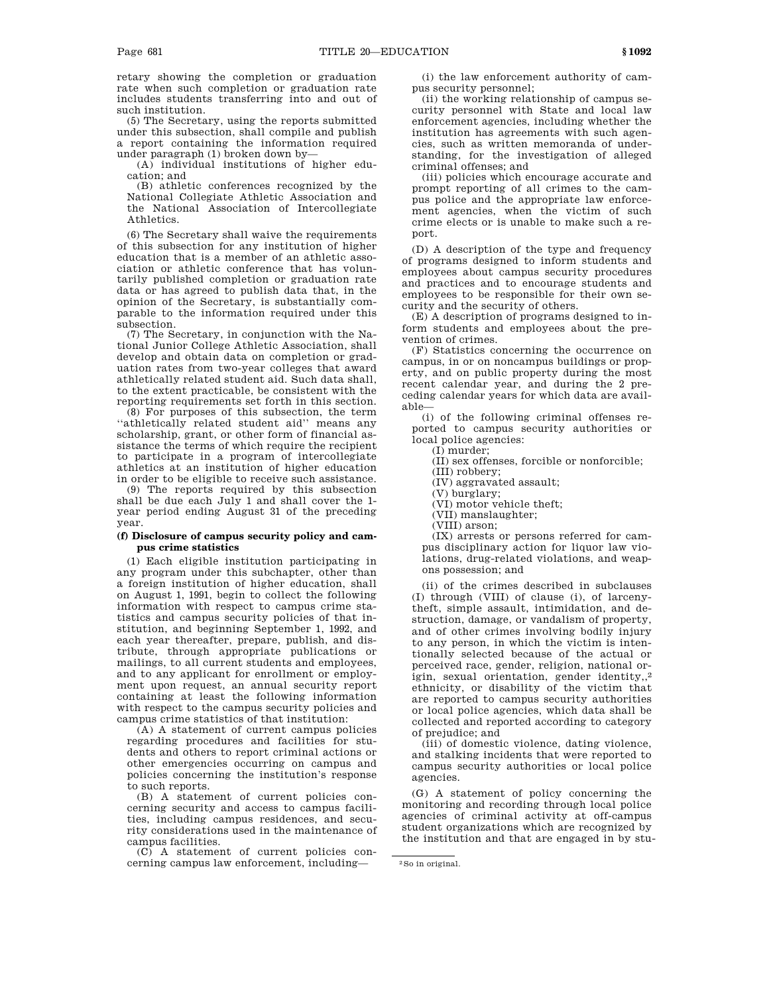retary showing the completion or graduation rate when such completion or graduation rate includes students transferring into and out of such institution.

(5) The Secretary, using the reports submitted under this subsection, shall compile and publish a report containing the information required under paragraph (1) broken down by—

(A) individual institutions of higher education; and

(B) athletic conferences recognized by the National Collegiate Athletic Association and the National Association of Intercollegiate Athletics.

(6) The Secretary shall waive the requirements of this subsection for any institution of higher education that is a member of an athletic association or athletic conference that has voluntarily published completion or graduation rate data or has agreed to publish data that, in the opinion of the Secretary, is substantially comparable to the information required under this subsection.

(7) The Secretary, in conjunction with the National Junior College Athletic Association, shall develop and obtain data on completion or graduation rates from two-year colleges that award athletically related student aid. Such data shall, to the extent practicable, be consistent with the reporting requirements set forth in this section.

(8) For purposes of this subsection, the term ''athletically related student aid'' means any scholarship, grant, or other form of financial assistance the terms of which require the recipient to participate in a program of intercollegiate athletics at an institution of higher education in order to be eligible to receive such assistance.

(9) The reports required by this subsection shall be due each July 1 and shall cover the 1 year period ending August 31 of the preceding year.

# **(f) Disclosure of campus security policy and campus crime statistics**

(1) Each eligible institution participating in any program under this subchapter, other than a foreign institution of higher education, shall on August 1, 1991, begin to collect the following information with respect to campus crime statistics and campus security policies of that institution, and beginning September 1, 1992, and each year thereafter, prepare, publish, and distribute, through appropriate publications or mailings, to all current students and employees, and to any applicant for enrollment or employment upon request, an annual security report containing at least the following information with respect to the campus security policies and campus crime statistics of that institution:

(A) A statement of current campus policies regarding procedures and facilities for students and others to report criminal actions or other emergencies occurring on campus and policies concerning the institution's response to such reports.

(B) A statement of current policies concerning security and access to campus facilities, including campus residences, and security considerations used in the maintenance of campus facilities.

(C) A statement of current policies concerning campus law enforcement, including—

(i) the law enforcement authority of campus security personnel;

(ii) the working relationship of campus security personnel with State and local law enforcement agencies, including whether the institution has agreements with such agencies, such as written memoranda of understanding, for the investigation of alleged criminal offenses; and

(iii) policies which encourage accurate and prompt reporting of all crimes to the campus police and the appropriate law enforcement agencies, when the victim of such crime elects or is unable to make such a report.

(D) A description of the type and frequency of programs designed to inform students and employees about campus security procedures and practices and to encourage students and employees to be responsible for their own security and the security of others.

(E) A description of programs designed to inform students and employees about the prevention of crimes.

(F) Statistics concerning the occurrence on campus, in or on noncampus buildings or property, and on public property during the most recent calendar year, and during the 2 preceding calendar years for which data are available—

(i) of the following criminal offenses reported to campus security authorities or local police agencies:

(I) murder;

(II) sex offenses, forcible or nonforcible;

(III) robbery;

(IV) aggravated assault;

(V) burglary;

(VI) motor vehicle theft;

(VII) manslaughter;

(VIII) arson;

(IX) arrests or persons referred for campus disciplinary action for liquor law violations, drug-related violations, and weapons possession; and

(ii) of the crimes described in subclauses (I) through (VIII) of clause (i), of larcenytheft, simple assault, intimidation, and destruction, damage, or vandalism of property, and of other crimes involving bodily injury to any person, in which the victim is intentionally selected because of the actual or perceived race, gender, religion, national origin, sexual orientation, gender identity,,2 ethnicity, or disability of the victim that are reported to campus security authorities or local police agencies, which data shall be collected and reported according to category of prejudice; and

(iii) of domestic violence, dating violence, and stalking incidents that were reported to campus security authorities or local police agencies.

(G) A statement of policy concerning the monitoring and recording through local police agencies of criminal activity at off-campus student organizations which are recognized by the institution and that are engaged in by stu-

<sup>2</sup>So in original.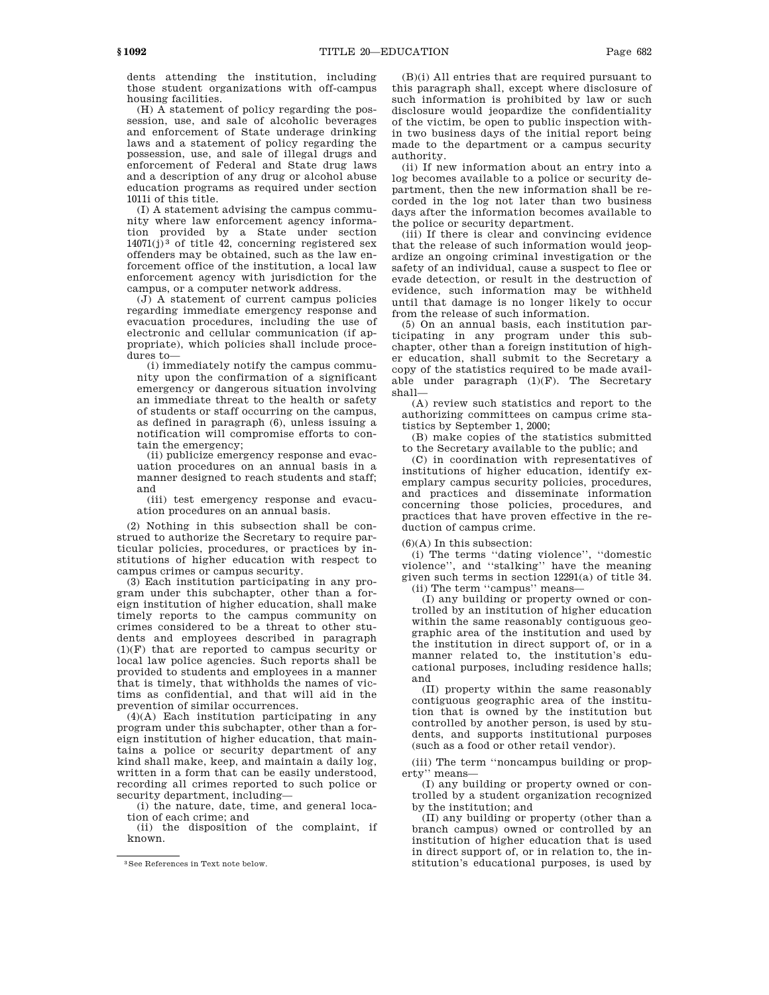dents attending the institution, including those student organizations with off-campus housing facilities.

(H) A statement of policy regarding the possession, use, and sale of alcoholic beverages and enforcement of State underage drinking laws and a statement of policy regarding the possession, use, and sale of illegal drugs and enforcement of Federal and State drug laws and a description of any drug or alcohol abuse education programs as required under section 1011i of this title.

(I) A statement advising the campus community where law enforcement agency information provided by a State under section  $14071(j)^3$  of title 42, concerning registered sex offenders may be obtained, such as the law enforcement office of the institution, a local law enforcement agency with jurisdiction for the campus, or a computer network address.

 $(J)$  A statement of current campus policies regarding immediate emergency response and evacuation procedures, including the use of electronic and cellular communication (if appropriate), which policies shall include procedures to—

(i) immediately notify the campus community upon the confirmation of a significant emergency or dangerous situation involving an immediate threat to the health or safety of students or staff occurring on the campus, as defined in paragraph (6), unless issuing a notification will compromise efforts to contain the emergency;

(ii) publicize emergency response and evacuation procedures on an annual basis in a manner designed to reach students and staff; and

(iii) test emergency response and evacuation procedures on an annual basis.

(2) Nothing in this subsection shall be construed to authorize the Secretary to require particular policies, procedures, or practices by institutions of higher education with respect to campus crimes or campus security.

(3) Each institution participating in any program under this subchapter, other than a foreign institution of higher education, shall make timely reports to the campus community on crimes considered to be a threat to other students and employees described in paragraph (1)(F) that are reported to campus security or local law police agencies. Such reports shall be provided to students and employees in a manner that is timely, that withholds the names of victims as confidential, and that will aid in the prevention of similar occurrences.

(4)(A) Each institution participating in any program under this subchapter, other than a foreign institution of higher education, that maintains a police or security department of any kind shall make, keep, and maintain a daily log, written in a form that can be easily understood, recording all crimes reported to such police or security department, including—

(i) the nature, date, time, and general location of each crime; and

(ii) the disposition of the complaint, if known.

(B)(i) All entries that are required pursuant to this paragraph shall, except where disclosure of such information is prohibited by law or such disclosure would jeopardize the confidentiality of the victim, be open to public inspection within two business days of the initial report being made to the department or a campus security authority.

(ii) If new information about an entry into a log becomes available to a police or security department, then the new information shall be recorded in the log not later than two business days after the information becomes available to the police or security department.

(iii) If there is clear and convincing evidence that the release of such information would jeopardize an ongoing criminal investigation or the safety of an individual, cause a suspect to flee or evade detection, or result in the destruction of evidence, such information may be withheld until that damage is no longer likely to occur from the release of such information.

(5) On an annual basis, each institution participating in any program under this subchapter, other than a foreign institution of higher education, shall submit to the Secretary a copy of the statistics required to be made available under paragraph  $(1)(F)$ . The Secretary shall—

(A) review such statistics and report to the authorizing committees on campus crime statistics by September 1, 2000;

(B) make copies of the statistics submitted to the Secretary available to the public; and

(C) in coordination with representatives of institutions of higher education, identify exemplary campus security policies, procedures, and practices and disseminate information concerning those policies, procedures, and practices that have proven effective in the reduction of campus crime.

 $(6)(A)$  In this subsection:

(i) The terms ''dating violence'', ''domestic violence'', and ''stalking'' have the meaning given such terms in section 12291(a) of title 34. (ii) The term ''campus'' means—

(I) any building or property owned or controlled by an institution of higher education within the same reasonably contiguous geographic area of the institution and used by the institution in direct support of, or in a manner related to, the institution's educational purposes, including residence halls; and

(II) property within the same reasonably contiguous geographic area of the institution that is owned by the institution but controlled by another person, is used by students, and supports institutional purposes (such as a food or other retail vendor).

(iii) The term ''noncampus building or property'' means—

(I) any building or property owned or controlled by a student organization recognized by the institution; and

(II) any building or property (other than a branch campus) owned or controlled by an institution of higher education that is used in direct support of, or in relation to, the institution's educational purposes, is used by

<sup>3</sup>See References in Text note below.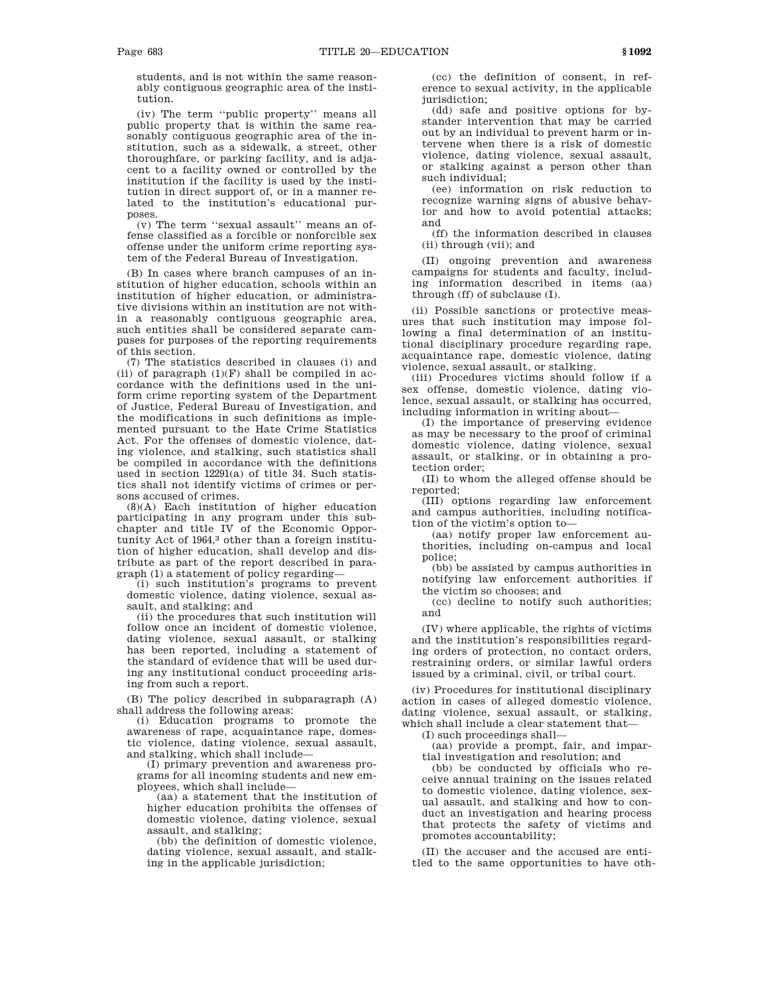students, and is not within the same reasonably contiguous geographic area of the institution.

(iv) The term ''public property'' means all public property that is within the same reasonably contiguous geographic area of the institution, such as a sidewalk, a street, other thoroughfare, or parking facility, and is adjacent to a facility owned or controlled by the institution if the facility is used by the institution in direct support of, or in a manner related to the institution's educational purposes.

(v) The term ''sexual assault'' means an offense classified as a forcible or nonforcible sex offense under the uniform crime reporting system of the Federal Bureau of Investigation.

(B) In cases where branch campuses of an institution of higher education, schools within an institution of higher education, or administrative divisions within an institution are not within a reasonably contiguous geographic area, such entities shall be considered separate campuses for purposes of the reporting requirements of this section.

(7) The statistics described in clauses (i) and (ii) of paragraph  $(1)(F)$  shall be compiled in accordance with the definitions used in the uniform crime reporting system of the Department of Justice, Federal Bureau of Investigation, and the modifications in such definitions as implemented pursuant to the Hate Crime Statistics Act. For the offenses of domestic violence, dating violence, and stalking, such statistics shall be compiled in accordance with the definitions used in section 12291(a) of title 34. Such statistics shall not identify victims of crimes or persons accused of crimes.

(8)(A) Each institution of higher education participating in any program under this subchapter and title IV of the Economic Opportunity Act of 1964,3 other than a foreign institution of higher education, shall develop and distribute as part of the report described in paragraph (1) a statement of policy regarding—

(i) such institution's programs to prevent domestic violence, dating violence, sexual assault, and stalking; and

(ii) the procedures that such institution will follow once an incident of domestic violence, dating violence, sexual assault, or stalking has been reported, including a statement of the standard of evidence that will be used during any institutional conduct proceeding arising from such a report.

(B) The policy described in subparagraph (A) shall address the following areas:

(i) Education programs to promote the awareness of rape, acquaintance rape, domestic violence, dating violence, sexual assault, and stalking, which shall include—

(I) primary prevention and awareness programs for all incoming students and new employees, which shall include—

(aa) a statement that the institution of higher education prohibits the offenses of domestic violence, dating violence, sexual assault, and stalking;

(bb) the definition of domestic violence, dating violence, sexual assault, and stalking in the applicable jurisdiction;

(cc) the definition of consent, in reference to sexual activity, in the applicable jurisdiction:

(dd) safe and positive options for bystander intervention that may be carried out by an individual to prevent harm or intervene when there is a risk of domestic violence, dating violence, sexual assault, or stalking against a person other than such individual;

(ee) information on risk reduction to recognize warning signs of abusive behavior and how to avoid potential attacks; and

(ff) the information described in clauses (ii) through (vii); and

(II) ongoing prevention and awareness campaigns for students and faculty, including information described in items (aa) through (ff) of subclause (I).

(ii) Possible sanctions or protective measures that such institution may impose following a final determination of an institutional disciplinary procedure regarding rape, acquaintance rape, domestic violence, dating violence, sexual assault, or stalking.

(iii) Procedures victims should follow if a sex offense, domestic violence, dating violence, sexual assault, or stalking has occurred, including information in writing about—

(I) the importance of preserving evidence as may be necessary to the proof of criminal domestic violence, dating violence, sexual assault, or stalking, or in obtaining a protection order;

(II) to whom the alleged offense should be reported;

(III) options regarding law enforcement and campus authorities, including notification of the victim's option to—

(aa) notify proper law enforcement authorities, including on-campus and local police;

(bb) be assisted by campus authorities in notifying law enforcement authorities if the victim so chooses; and

(cc) decline to notify such authorities; and

(IV) where applicable, the rights of victims and the institution's responsibilities regarding orders of protection, no contact orders, restraining orders, or similar lawful orders issued by a criminal, civil, or tribal court.

(iv) Procedures for institutional disciplinary action in cases of alleged domestic violence, dating violence, sexual assault, or stalking, which shall include a clear statement that—

(I) such proceedings shall—

(aa) provide a prompt, fair, and impartial investigation and resolution; and

(bb) be conducted by officials who receive annual training on the issues related to domestic violence, dating violence, sexual assault, and stalking and how to conduct an investigation and hearing process that protects the safety of victims and promotes accountability;

(II) the accuser and the accused are entitled to the same opportunities to have oth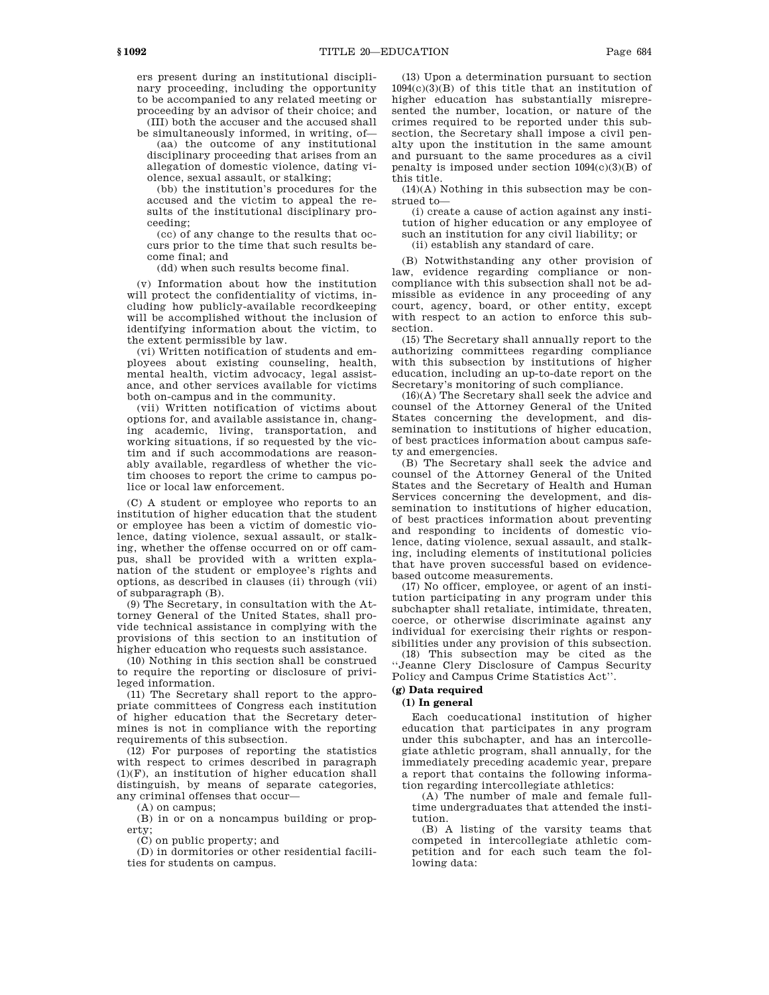ers present during an institutional disciplinary proceeding, including the opportunity to be accompanied to any related meeting or proceeding by an advisor of their choice; and

(III) both the accuser and the accused shall be simultaneously informed, in writing, of—

(aa) the outcome of any institutional disciplinary proceeding that arises from an allegation of domestic violence, dating violence, sexual assault, or stalking;

(bb) the institution's procedures for the accused and the victim to appeal the results of the institutional disciplinary proceeding;

(cc) of any change to the results that occurs prior to the time that such results become final; and

(dd) when such results become final.

(v) Information about how the institution will protect the confidentiality of victims, including how publicly-available recordkeeping will be accomplished without the inclusion of identifying information about the victim, to the extent permissible by law.

(vi) Written notification of students and employees about existing counseling, health, mental health, victim advocacy, legal assistance, and other services available for victims both on-campus and in the community.

(vii) Written notification of victims about options for, and available assistance in, changing academic, living, transportation, and working situations, if so requested by the victim and if such accommodations are reasonably available, regardless of whether the victim chooses to report the crime to campus police or local law enforcement.

(C) A student or employee who reports to an institution of higher education that the student or employee has been a victim of domestic violence, dating violence, sexual assault, or stalking, whether the offense occurred on or off campus, shall be provided with a written explanation of the student or employee's rights and options, as described in clauses (ii) through (vii) of subparagraph (B).

(9) The Secretary, in consultation with the Attorney General of the United States, shall provide technical assistance in complying with the provisions of this section to an institution of higher education who requests such assistance.

(10) Nothing in this section shall be construed to require the reporting or disclosure of privileged information.

(11) The Secretary shall report to the appropriate committees of Congress each institution of higher education that the Secretary determines is not in compliance with the reporting requirements of this subsection.

(12) For purposes of reporting the statistics with respect to crimes described in paragraph  $(1)(F)$ , an institution of higher education shall distinguish, by means of separate categories, any criminal offenses that occur—

(A) on campus;

(B) in or on a noncampus building or property;

(C) on public property; and

(D) in dormitories or other residential facilities for students on campus.

(13) Upon a determination pursuant to section 1094(c)(3)(B) of this title that an institution of higher education has substantially misrepresented the number, location, or nature of the crimes required to be reported under this subsection, the Secretary shall impose a civil penalty upon the institution in the same amount and pursuant to the same procedures as a civil penalty is imposed under section  $1094(c)(3)(B)$  of this title.

(14)(A) Nothing in this subsection may be construed to—

(i) create a cause of action against any institution of higher education or any employee of

such an institution for any civil liability; or

(ii) establish any standard of care.

(B) Notwithstanding any other provision of law, evidence regarding compliance or noncompliance with this subsection shall not be admissible as evidence in any proceeding of any court, agency, board, or other entity, except with respect to an action to enforce this subsection.

(15) The Secretary shall annually report to the authorizing committees regarding compliance with this subsection by institutions of higher education, including an up-to-date report on the Secretary's monitoring of such compliance.

(16)(A) The Secretary shall seek the advice and counsel of the Attorney General of the United States concerning the development, and dissemination to institutions of higher education, of best practices information about campus safety and emergencies.

(B) The Secretary shall seek the advice and counsel of the Attorney General of the United States and the Secretary of Health and Human Services concerning the development, and dissemination to institutions of higher education, of best practices information about preventing and responding to incidents of domestic violence, dating violence, sexual assault, and stalking, including elements of institutional policies that have proven successful based on evidencebased outcome measurements.

(17) No officer, employee, or agent of an institution participating in any program under this subchapter shall retaliate, intimidate, threaten, coerce, or otherwise discriminate against any individual for exercising their rights or responsibilities under any provision of this subsection.

(18) This subsection may be cited as the ''Jeanne Clery Disclosure of Campus Security Policy and Campus Crime Statistics Act''.

# **(g) Data required**

# **(1) In general**

Each coeducational institution of higher education that participates in any program under this subchapter, and has an intercollegiate athletic program, shall annually, for the immediately preceding academic year, prepare a report that contains the following information regarding intercollegiate athletics:

(A) The number of male and female fulltime undergraduates that attended the institution.

(B) A listing of the varsity teams that competed in intercollegiate athletic competition and for each such team the following data: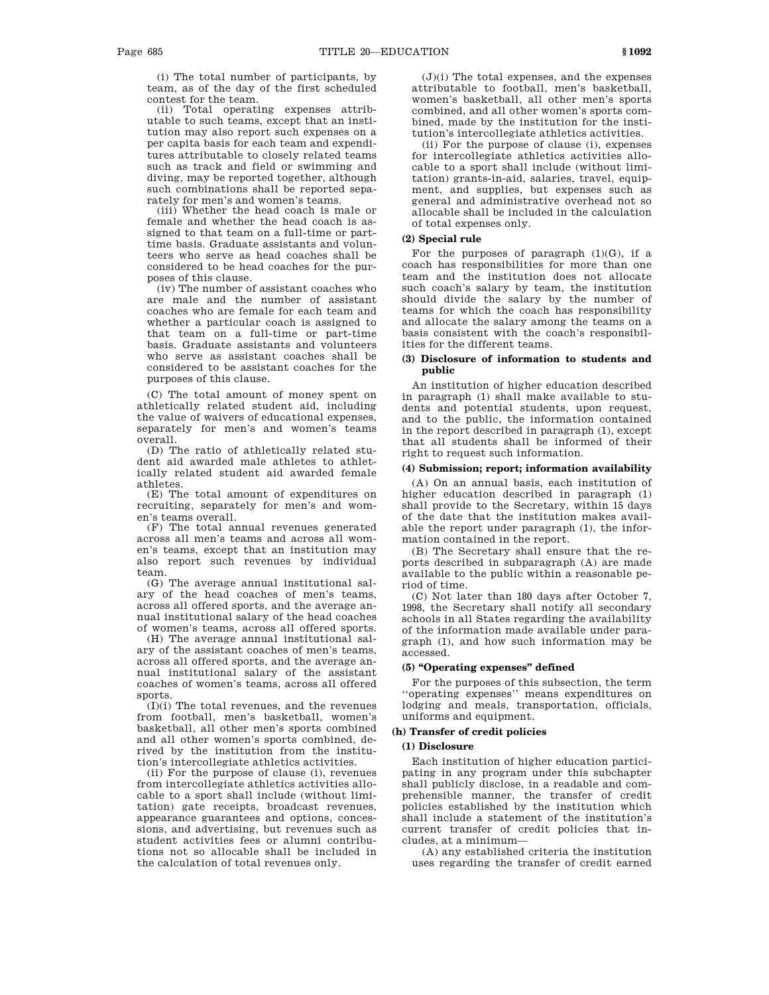(i) The total number of participants, by team, as of the day of the first scheduled contest for the team.

(ii) Total operating expenses attributable to such teams, except that an institution may also report such expenses on a per capita basis for each team and expenditures attributable to closely related teams such as track and field or swimming and diving, may be reported together, although such combinations shall be reported separately for men's and women's teams.

(iii) Whether the head coach is male or female and whether the head coach is assigned to that team on a full-time or parttime basis. Graduate assistants and volunteers who serve as head coaches shall be considered to be head coaches for the purposes of this clause.

(iv) The number of assistant coaches who are male and the number of assistant coaches who are female for each team and whether a particular coach is assigned to that team on a full-time or part-time basis. Graduate assistants and volunteers who serve as assistant coaches shall be considered to be assistant coaches for the purposes of this clause.

(C) The total amount of money spent on athletically related student aid, including the value of waivers of educational expenses, separately for men's and women's teams overall.

(D) The ratio of athletically related student aid awarded male athletes to athletically related student aid awarded female athletes.

(E) The total amount of expenditures on recruiting, separately for men's and women's teams overall.

(F) The total annual revenues generated across all men's teams and across all women's teams, except that an institution may also report such revenues by individual team.

(G) The average annual institutional salary of the head coaches of men's teams, across all offered sports, and the average annual institutional salary of the head coaches of women's teams, across all offered sports.

(H) The average annual institutional salary of the assistant coaches of men's teams, across all offered sports, and the average annual institutional salary of the assistant coaches of women's teams, across all offered sports.

(I)(i) The total revenues, and the revenues from football, men's basketball, women's basketball, all other men's sports combined and all other women's sports combined, derived by the institution from the institution's intercollegiate athletics activities.

(ii) For the purpose of clause (i), revenues from intercollegiate athletics activities allocable to a sport shall include (without limitation) gate receipts, broadcast revenues, appearance guarantees and options, concessions, and advertising, but revenues such as student activities fees or alumni contributions not so allocable shall be included in the calculation of total revenues only.

(J)(i) The total expenses, and the expenses attributable to football, men's basketball, women's basketball, all other men's sports combined, and all other women's sports combined, made by the institution for the institution's intercollegiate athletics activities.

(ii) For the purpose of clause (i), expenses for intercollegiate athletics activities allocable to a sport shall include (without limitation) grants-in-aid, salaries, travel, equipment, and supplies, but expenses such as general and administrative overhead not so allocable shall be included in the calculation of total expenses only.

# **(2) Special rule**

For the purposes of paragraph  $(1)(G)$ , if a coach has responsibilities for more than one team and the institution does not allocate such coach's salary by team, the institution should divide the salary by the number of teams for which the coach has responsibility and allocate the salary among the teams on a basis consistent with the coach's responsibilities for the different teams.

# **(3) Disclosure of information to students and public**

An institution of higher education described in paragraph (1) shall make available to students and potential students, upon request, and to the public, the information contained in the report described in paragraph (1), except that all students shall be informed of their right to request such information.

# **(4) Submission; report; information availability**

(A) On an annual basis, each institution of higher education described in paragraph (1) shall provide to the Secretary, within 15 days of the date that the institution makes available the report under paragraph (1), the information contained in the report.

(B) The Secretary shall ensure that the reports described in subparagraph (A) are made available to the public within a reasonable period of time.

(C) Not later than 180 days after October 7, 1998, the Secretary shall notify all secondary schools in all States regarding the availability of the information made available under paragraph (1), and how such information may be accessed.

# **(5) ''Operating expenses'' defined**

For the purposes of this subsection, the term ''operating expenses'' means expenditures on lodging and meals, transportation, officials, uniforms and equipment.

# **(h) Transfer of credit policies**

# **(1) Disclosure**

Each institution of higher education participating in any program under this subchapter shall publicly disclose, in a readable and comprehensible manner, the transfer of credit policies established by the institution which shall include a statement of the institution's current transfer of credit policies that includes, at a minimum—

(A) any established criteria the institution uses regarding the transfer of credit earned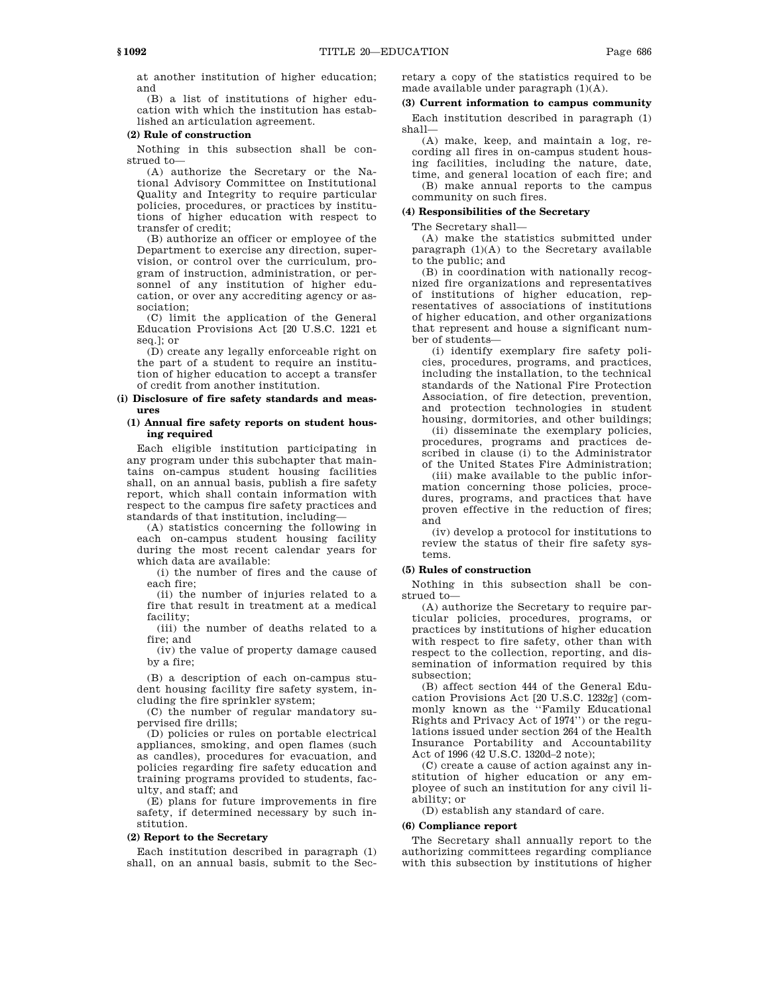at another institution of higher education; and

(B) a list of institutions of higher education with which the institution has established an articulation agreement.

## **(2) Rule of construction**

Nothing in this subsection shall be construed to—

(A) authorize the Secretary or the National Advisory Committee on Institutional Quality and Integrity to require particular policies, procedures, or practices by institutions of higher education with respect to transfer of credit;

(B) authorize an officer or employee of the Department to exercise any direction, supervision, or control over the curriculum, program of instruction, administration, or personnel of any institution of higher education, or over any accrediting agency or association;

(C) limit the application of the General Education Provisions Act [20 U.S.C. 1221 et seq.]; or

(D) create any legally enforceable right on the part of a student to require an institution of higher education to accept a transfer of credit from another institution.

## **(i) Disclosure of fire safety standards and measures**

## **(1) Annual fire safety reports on student housing required**

Each eligible institution participating in any program under this subchapter that maintains on-campus student housing facilities shall, on an annual basis, publish a fire safety report, which shall contain information with respect to the campus fire safety practices and standards of that institution, including—

(A) statistics concerning the following in each on-campus student housing facility during the most recent calendar years for which data are available:

(i) the number of fires and the cause of each fire;

(ii) the number of injuries related to a fire that result in treatment at a medical facility;

(iii) the number of deaths related to a fire; and

(iv) the value of property damage caused by a fire;

(B) a description of each on-campus student housing facility fire safety system, including the fire sprinkler system;

(C) the number of regular mandatory supervised fire drills;

(D) policies or rules on portable electrical appliances, smoking, and open flames (such as candles), procedures for evacuation, and policies regarding fire safety education and training programs provided to students, faculty, and staff; and

(E) plans for future improvements in fire safety, if determined necessary by such institution.

# **(2) Report to the Secretary**

Each institution described in paragraph (1) shall, on an annual basis, submit to the Secretary a copy of the statistics required to be made available under paragraph (1)(A).

# **(3) Current information to campus community**

Each institution described in paragraph (1) shall—

(A) make, keep, and maintain a log, recording all fires in on-campus student housing facilities, including the nature, date, time, and general location of each fire; and (B) make annual reports to the campus community on such fires.

# **(4) Responsibilities of the Secretary**

The Secretary shall—

(A) make the statistics submitted under paragraph (1)(A) to the Secretary available to the public; and

(B) in coordination with nationally recognized fire organizations and representatives of institutions of higher education, representatives of associations of institutions of higher education, and other organizations that represent and house a significant number of students—

(i) identify exemplary fire safety policies, procedures, programs, and practices, including the installation, to the technical standards of the National Fire Protection Association, of fire detection, prevention, and protection technologies in student housing, dormitories, and other buildings;

(ii) disseminate the exemplary policies, procedures, programs and practices described in clause (i) to the Administrator of the United States Fire Administration;

(iii) make available to the public information concerning those policies, procedures, programs, and practices that have proven effective in the reduction of fires; and

(iv) develop a protocol for institutions to review the status of their fire safety systems.

# **(5) Rules of construction**

Nothing in this subsection shall be construed to—

(A) authorize the Secretary to require particular policies, procedures, programs, or practices by institutions of higher education with respect to fire safety, other than with respect to the collection, reporting, and dissemination of information required by this subsection;

(B) affect section 444 of the General Education Provisions Act [20 U.S.C. 1232g] (commonly known as the ''Family Educational Rights and Privacy Act of 1974'') or the regulations issued under section 264 of the Health Insurance Portability and Accountability Act of 1996 (42 U.S.C. 1320d–2 note);

(C) create a cause of action against any institution of higher education or any employee of such an institution for any civil liability; or

(D) establish any standard of care.

# **(6) Compliance report**

The Secretary shall annually report to the authorizing committees regarding compliance with this subsection by institutions of higher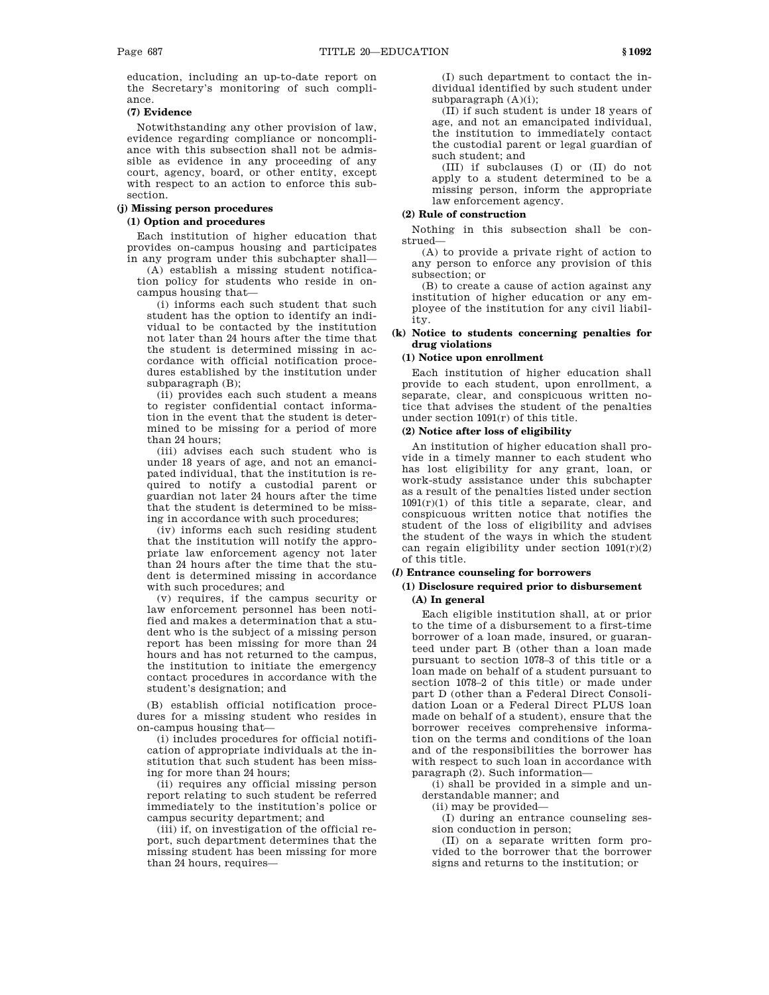education, including an up-to-date report on the Secretary's monitoring of such compliance.

## **(7) Evidence**

Notwithstanding any other provision of law, evidence regarding compliance or noncompliance with this subsection shall not be admissible as evidence in any proceeding of any court, agency, board, or other entity, except with respect to an action to enforce this subsection.

# **(j) Missing person procedures**

# **(1) Option and procedures**

Each institution of higher education that provides on-campus housing and participates in any program under this subchapter shall—

(A) establish a missing student notification policy for students who reside in oncampus housing that—

(i) informs each such student that such student has the option to identify an individual to be contacted by the institution not later than 24 hours after the time that the student is determined missing in accordance with official notification procedures established by the institution under subparagraph (B);

(ii) provides each such student a means to register confidential contact information in the event that the student is determined to be missing for a period of more than 24 hours;

(iii) advises each such student who is under 18 years of age, and not an emancipated individual, that the institution is required to notify a custodial parent or guardian not later 24 hours after the time that the student is determined to be missing in accordance with such procedures;

(iv) informs each such residing student that the institution will notify the appropriate law enforcement agency not later than 24 hours after the time that the student is determined missing in accordance with such procedures; and

(v) requires, if the campus security or law enforcement personnel has been notified and makes a determination that a student who is the subject of a missing person report has been missing for more than 24 hours and has not returned to the campus, the institution to initiate the emergency contact procedures in accordance with the student's designation; and

(B) establish official notification procedures for a missing student who resides in on-campus housing that—

(i) includes procedures for official notification of appropriate individuals at the institution that such student has been missing for more than 24 hours;

(ii) requires any official missing person report relating to such student be referred immediately to the institution's police or campus security department; and

(iii) if, on investigation of the official report, such department determines that the missing student has been missing for more than 24 hours, requires—

(I) such department to contact the individual identified by such student under subparagraph  $(A)(i)$ ;

(II) if such student is under 18 years of age, and not an emancipated individual, the institution to immediately contact the custodial parent or legal guardian of such student; and

(III) if subclauses (I) or (II) do not apply to a student determined to be a missing person, inform the appropriate law enforcement agency.

## **(2) Rule of construction**

Nothing in this subsection shall be construed—

(A) to provide a private right of action to any person to enforce any provision of this subsection; or

(B) to create a cause of action against any institution of higher education or any employee of the institution for any civil liability.

## **(k) Notice to students concerning penalties for drug violations**

# **(1) Notice upon enrollment**

Each institution of higher education shall provide to each student, upon enrollment, a separate, clear, and conspicuous written notice that advises the student of the penalties under section 1091(r) of this title.

## **(2) Notice after loss of eligibility**

An institution of higher education shall provide in a timely manner to each student who has lost eligibility for any grant, loan, or work-study assistance under this subchapter as a result of the penalties listed under section 1091(r)(1) of this title a separate, clear, and conspicuous written notice that notifies the student of the loss of eligibility and advises the student of the ways in which the student can regain eligibility under section  $1091(r)(2)$ of this title.

# **(***l***) Entrance counseling for borrowers**

# **(1) Disclosure required prior to disbursement (A) In general**

Each eligible institution shall, at or prior to the time of a disbursement to a first-time borrower of a loan made, insured, or guaranteed under part B (other than a loan made pursuant to section 1078–3 of this title or a loan made on behalf of a student pursuant to section 1078–2 of this title) or made under part D (other than a Federal Direct Consolidation Loan or a Federal Direct PLUS loan made on behalf of a student), ensure that the borrower receives comprehensive information on the terms and conditions of the loan and of the responsibilities the borrower has with respect to such loan in accordance with paragraph (2). Such information—

(i) shall be provided in a simple and understandable manner; and

(ii) may be provided—

(I) during an entrance counseling session conduction in person;

(II) on a separate written form provided to the borrower that the borrower signs and returns to the institution; or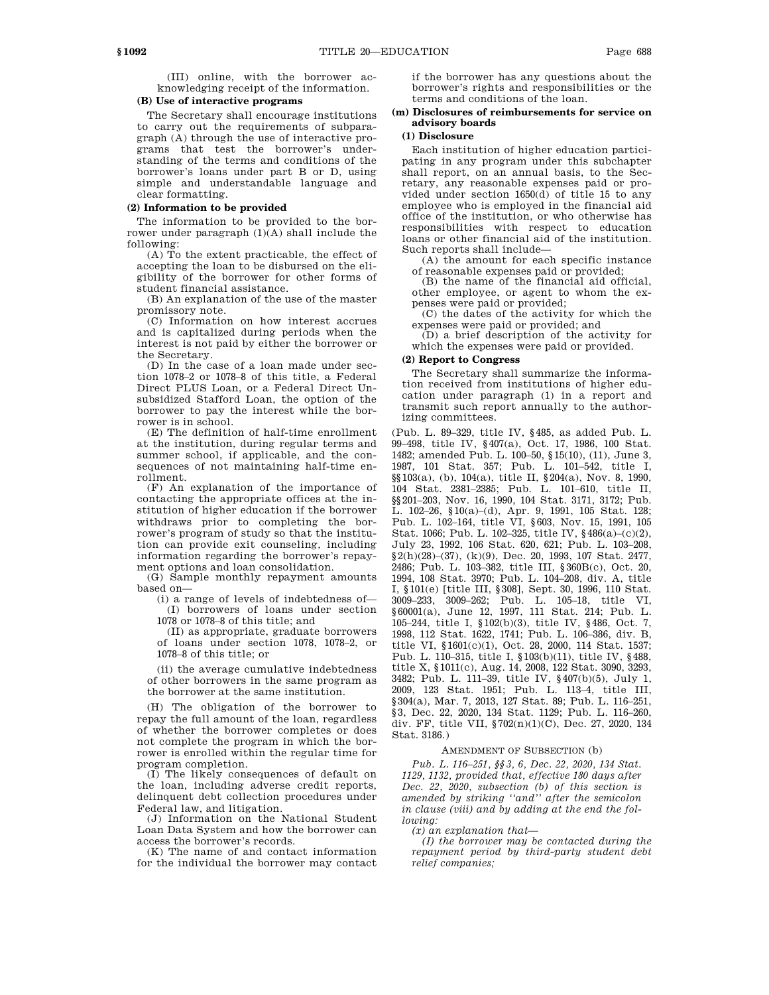(III) online, with the borrower acknowledging receipt of the information.

### **(B) Use of interactive programs**

The Secretary shall encourage institutions to carry out the requirements of subparagraph (A) through the use of interactive programs that test the borrower's understanding of the terms and conditions of the borrower's loans under part B or D, using simple and understandable language and clear formatting.

## **(2) Information to be provided**

The information to be provided to the borrower under paragraph (1)(A) shall include the following:

(A) To the extent practicable, the effect of accepting the loan to be disbursed on the eligibility of the borrower for other forms of student financial assistance.

(B) An explanation of the use of the master promissory note.

(C) Information on how interest accrues and is capitalized during periods when the interest is not paid by either the borrower or the Secretary.

(D) In the case of a loan made under section 1078–2 or 1078–8 of this title, a Federal Direct PLUS Loan, or a Federal Direct Unsubsidized Stafford Loan, the option of the borrower to pay the interest while the borrower is in school.

(E) The definition of half-time enrollment at the institution, during regular terms and summer school, if applicable, and the consequences of not maintaining half-time enrollment.

(F) An explanation of the importance of contacting the appropriate offices at the institution of higher education if the borrower withdraws prior to completing the borrower's program of study so that the institution can provide exit counseling, including information regarding the borrower's repayment options and loan consolidation.

(G) Sample monthly repayment amounts based on—

(i) a range of levels of indebtedness of— (I) borrowers of loans under section 1078 or 1078–8 of this title; and

(II) as appropriate, graduate borrowers of loans under section 1078, 1078–2, or 1078–8 of this title; or

(ii) the average cumulative indebtedness of other borrowers in the same program as the borrower at the same institution.

(H) The obligation of the borrower to repay the full amount of the loan, regardless of whether the borrower completes or does not complete the program in which the borrower is enrolled within the regular time for program completion.

(I) The likely consequences of default on the loan, including adverse credit reports, delinquent debt collection procedures under Federal law, and litigation.

(J) Information on the National Student Loan Data System and how the borrower can access the borrower's records.

(K) The name of and contact information for the individual the borrower may contact if the borrower has any questions about the borrower's rights and responsibilities or the terms and conditions of the loan.

# **(m) Disclosures of reimbursements for service on advisory boards**

# **(1) Disclosure**

Each institution of higher education participating in any program under this subchapter shall report, on an annual basis, to the Secretary, any reasonable expenses paid or provided under section 1650(d) of title 15 to any employee who is employed in the financial aid office of the institution, or who otherwise has responsibilities with respect to education loans or other financial aid of the institution. Such reports shall include—

(A) the amount for each specific instance of reasonable expenses paid or provided;

(B) the name of the financial aid official, other employee, or agent to whom the expenses were paid or provided;

(C) the dates of the activity for which the expenses were paid or provided; and

(D) a brief description of the activity for which the expenses were paid or provided.

### **(2) Report to Congress**

The Secretary shall summarize the information received from institutions of higher education under paragraph (1) in a report and transmit such report annually to the authorizing committees.

(Pub. L. 89–329, title IV, §485, as added Pub. L. 99–498, title IV, §407(a), Oct. 17, 1986, 100 Stat. 1482; amended Pub. L. 100–50, §15(10), (11), June 3, 1987, 101 Stat. 357; Pub. L. 101–542, title I, §§103(a), (b), 104(a), title II, §204(a), Nov. 8, 1990, 104 Stat. 2381–2385; Pub. L. 101–610, title II, §§201–203, Nov. 16, 1990, 104 Stat. 3171, 3172; Pub. L. 102–26, §10(a)–(d), Apr. 9, 1991, 105 Stat. 128; Pub. L. 102–164, title VI, §603, Nov. 15, 1991, 105 Stat. 1066; Pub. L. 102–325, title IV, §486(a)–(c)(2), July 23, 1992, 106 Stat. 620, 621; Pub. L. 103–208, §2(h)(28)–(37), (k)(9), Dec. 20, 1993, 107 Stat. 2477, 2486; Pub. L. 103–382, title III, §360B(c), Oct. 20, 1994, 108 Stat. 3970; Pub. L. 104–208, div. A, title I, §101(e) [title III, §308], Sept. 30, 1996, 110 Stat. 3009–233, 3009–262; Pub. L. 105–18, title VI, §60001(a), June 12, 1997, 111 Stat. 214; Pub. L. 105–244, title I, §102(b)(3), title IV, §486, Oct. 7, 1998, 112 Stat. 1622, 1741; Pub. L. 106–386, div. B, title VI, §1601(c)(1), Oct. 28, 2000, 114 Stat. 1537; Pub. L. 110–315, title I, §103(b)(11), title IV, §488, title X, §1011(c), Aug. 14, 2008, 122 Stat. 3090, 3293, 3482; Pub. L. 111–39, title IV, §407(b)(5), July 1, 2009, 123 Stat. 1951; Pub. L. 113–4, title III, §304(a), Mar. 7, 2013, 127 Stat. 89; Pub. L. 116–251, §3, Dec. 22, 2020, 134 Stat. 1129; Pub. L. 116-260, div. FF, title VII, §702(n)(1)(C), Dec. 27, 2020, 134 Stat. 3186.)

#### AMENDMENT OF SUBSECTION (b)

*Pub. L. 116–251, §§3, 6, Dec. 22, 2020, 134 Stat. 1129, 1132, provided that, effective 180 days after Dec. 22, 2020, subsection (b) of this section is amended by striking ''and'' after the semicolon in clause (viii) and by adding at the end the following:* 

*(x) an explanation that—*

*(I) the borrower may be contacted during the repayment period by third-party student debt relief companies;*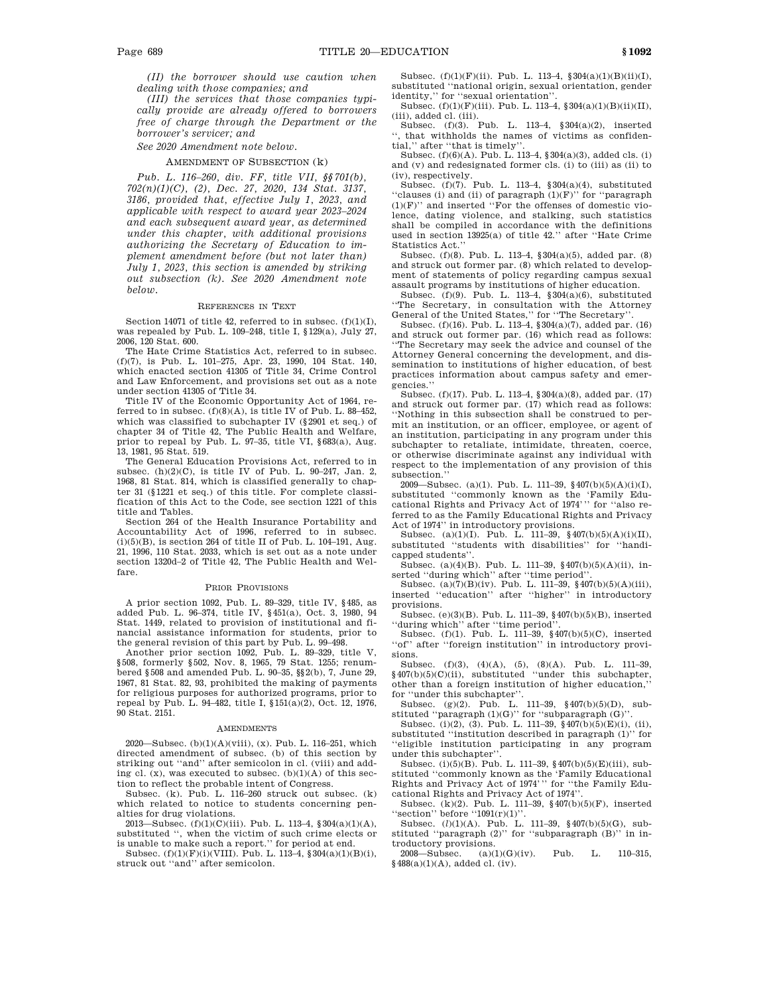*(II) the borrower should use caution when dealing with those companies; and* 

*(III) the services that those companies typically provide are already offered to borrowers free of charge through the Department or the borrower's servicer; and*

*See 2020 Amendment note below.* 

### AMENDMENT OF SUBSECTION (k)

*Pub. L. 116–260, div. FF, title VII, §§701(b), 702(n)(1)(C), (2), Dec. 27, 2020, 134 Stat. 3137, 3186, provided that, effective July 1, 2023, and applicable with respect to award year 2023–2024 and each subsequent award year, as determined under this chapter, with additional provisions authorizing the Secretary of Education to implement amendment before (but not later than) July 1, 2023, this section is amended by striking out subsection (k). See 2020 Amendment note below.* 

#### REFERENCES IN TEXT

Section 14071 of title 42, referred to in subsec.  $(f)(1)(I)$ , was repealed by Pub. L. 109–248, title I, §129(a), July 27, 2006, 120 Stat. 600.

The Hate Crime Statistics Act, referred to in subsec. (f)(7), is Pub. L. 101–275, Apr. 23, 1990, 104 Stat. 140, which enacted section 41305 of Title 34, Crime Control and Law Enforcement, and provisions set out as a note under section 41305 of Title 34.

Title IV of the Economic Opportunity Act of 1964, referred to in subsec.  $(f)(8)(A)$ , is title IV of Pub. L. 88-452, which was classified to subchapter IV (§2901 et seq.) of chapter 34 of Title 42, The Public Health and Welfare, prior to repeal by Pub. L. 97–35, title VI, §683(a), Aug. 13, 1981, 95 Stat. 519.

The General Education Provisions Act, referred to in subsec.  $(h)(2)(C)$ , is title IV of Pub. L. 90–247, Jan. 2, 1968, 81 Stat. 814, which is classified generally to chapter 31 (§1221 et seq.) of this title. For complete classification of this Act to the Code, see section 1221 of this title and Tables.

Section 264 of the Health Insurance Portability and Accountability Act of 1996, referred to in subsec.  $(i)(5)(B)$ , is section 264 of title II of Pub. L. 104–191, Aug. 21, 1996, 110 Stat. 2033, which is set out as a note under section 1320d–2 of Title 42, The Public Health and Welfare.

#### PRIOR PROVISIONS

A prior section 1092, Pub. L. 89–329, title IV, §485, as added Pub. L. 96–374, title IV, §451(a), Oct. 3, 1980, 94 Stat. 1449, related to provision of institutional and financial assistance information for students, prior to the general revision of this part by Pub. L. 99–498.

Another prior section 1092, Pub. L. 89–329, title V, §508, formerly §502, Nov. 8, 1965, 79 Stat. 1255; renumbered §508 and amended Pub. L. 90–35, §§2(b), 7, June 29, 1967, 81 Stat. 82, 93, prohibited the making of payments for religious purposes for authorized programs, prior to repeal by Pub. L. 94–482, title I, §151(a)(2), Oct. 12, 1976, 90 Stat. 2151.

#### AMENDMENTS

2020—Subsec. (b)(1)(A)(viii), (x). Pub. L. 116–251, which directed amendment of subsec. (b) of this section by striking out ''and'' after semicolon in cl. (viii) and adding cl.  $(x)$ , was executed to subsec.  $(b)(1)(A)$  of this section to reflect the probable intent of Congress.

Subsec. (k). Pub. L. 116–260 struck out subsec. (k) which related to notice to students concerning penalties for drug violations.

2013—Subsec. (f)(1)(C)(iii). Pub. L. 113–4, §304(a)(1)(A), substituted '', when the victim of such crime elects or

is unable to make such a report.'' for period at end.<br>Subsec.  $(f)(1)(F)(i)(VIII)$ . Pub. L. 113–4, §304(a)(1)(B)(i), struck out ''and'' after semicolon.

Subsec. (f)(1)(F)(ii). Pub. L. 113–4, §304(a)(1)(B)(ii)(I), substituted ''national origin, sexual orientation, gender identity,'' for ''sexual orientation''.

Subsec. (f)(1)(F)(iii). Pub. L. 113–4, §304(a)(1)(B)(ii)(II), (iii), added cl. (iii).

Subsec. (f)(3). Pub. L. 113–4, §304(a)(2), inserted '', that withholds the names of victims as confidential,'' after ''that is timely''.

Subsec. (f)(6)(A). Pub. L. 113–4, §304(a)(3), added cls. (i) and (v) and redesignated former cls. (i) to (iii) as (ii) to (iv), respectively.

Subsec. (f)(7). Pub. L. 113–4, §304(a)(4), substituted "clauses (i) and (ii) of paragraph  $(1)(F)$ " for "paragraph  $(1)(F)$ " and inserted "For the offenses of domestic violence, dating violence, and stalking, such statistics shall be compiled in accordance with the definitions used in section 13925(a) of title 42.'' after ''Hate Crime Statistics Act.''

Subsec. (f)(8). Pub. L. 113–4, §304(a)(5), added par. (8) and struck out former par. (8) which related to development of statements of policy regarding campus sexual assault programs by institutions of higher education.

Subsec. (f)(9). Pub. L. 113-4,  $\sqrt{304(a)}$ (6), substituted ''The Secretary, in consultation with the Attorney General of the United States,'' for ''The Secretary''.

Subsec. (f)(16). Pub. L. 113–4, §304(a)(7), added par. (16) and struck out former par. (16) which read as follows: ''The Secretary may seek the advice and counsel of the Attorney General concerning the development, and dissemination to institutions of higher education, of best practices information about campus safety and emergencies.''

Subsec. (f)(17). Pub. L. 113–4, §304(a)(8), added par. (17) and struck out former par. (17) which read as follows: ''Nothing in this subsection shall be construed to permit an institution, or an officer, employee, or agent of an institution, participating in any program under this subchapter to retaliate, intimidate, threaten, coerce, or otherwise discriminate against any individual with respect to the implementation of any provision of this subsection.''

2009—Subsec. (a)(1). Pub. L. 111–39, §407(b)(5)(A)(i)(I), substituted ''commonly known as the 'Family Educational Rights and Privacy Act of 1974''' for ''also referred to as the Family Educational Rights and Privacy Act of 1974'' in introductory provisions.

Subsec. (a)(1)(I). Pub. L. 111-39,  $§407(b)(5)(A)(i)(II)$ , substituted ''students with disabilities'' for ''handicapped students''.

Subsec. (a)(4)(B). Pub. L. 111–39, §407(b)(5)(A)(ii), inserted ''during which'' after ''time period''.

Subsec. (a)(7)(B)(iv). Pub. L. 111–39, §407(b)(5)(A)(iii), inserted ''education'' after ''higher'' in introductory provisions.

Subsec. (e)(3)(B). Pub. L. 111–39, §407(b)(5)(B), inserted 'during which'' after "time period".

Subsec. (f)(1). Pub. L. 111–39, §407(b)(5)(C), inserted ''of'' after ''foreign institution'' in introductory provisions.

Subsec. (f)(3), (4)(A), (5), (8)(A). Pub. L. 111-39,  $$407(b)(5)(C)(ii)$ , substituted "under this subchapter, other than a foreign institution of higher education,'' for ''under this subchapter''.

Subsec. (g)(2). Pub. L. 111–39, §407(b)(5)(D), substituted ''paragraph (1)(G)'' for ''subparagraph (G)''.

Subsec. (i)(2), (3). Pub. L. 111–39, §407(b)(5)(E)(i), (ii), substituted ''institution described in paragraph (1)'' for ''eligible institution participating in any program under this subchapter''.

Subsec. (i)(5)(B). Pub. L. 111–39, §407(b)(5)(E)(iii), substituted ''commonly known as the 'Family Educational Rights and Privacy Act of 1974''' for ''the Family Educational Rights and Privacy Act of 1974''.

Subsec. (k)(2). Pub. L. 111–39,  $\frac{9407(b)(5)}{F}$ , inserted "section" before "1091(r)(1)".

Subsec. (*l*)(1)(A). Pub. L. 111–39, §407(b)(5)(G), substituted ''paragraph (2)'' for ''subparagraph (B)'' in in-

troductory provisions.<br>2008—Subsec.  $(a)(1)(G)(iv)$ . 2008—Subsec. (a)(1)(G)(iv). Pub. L. 110–315, §488(a)(1)(A), added cl. (iv).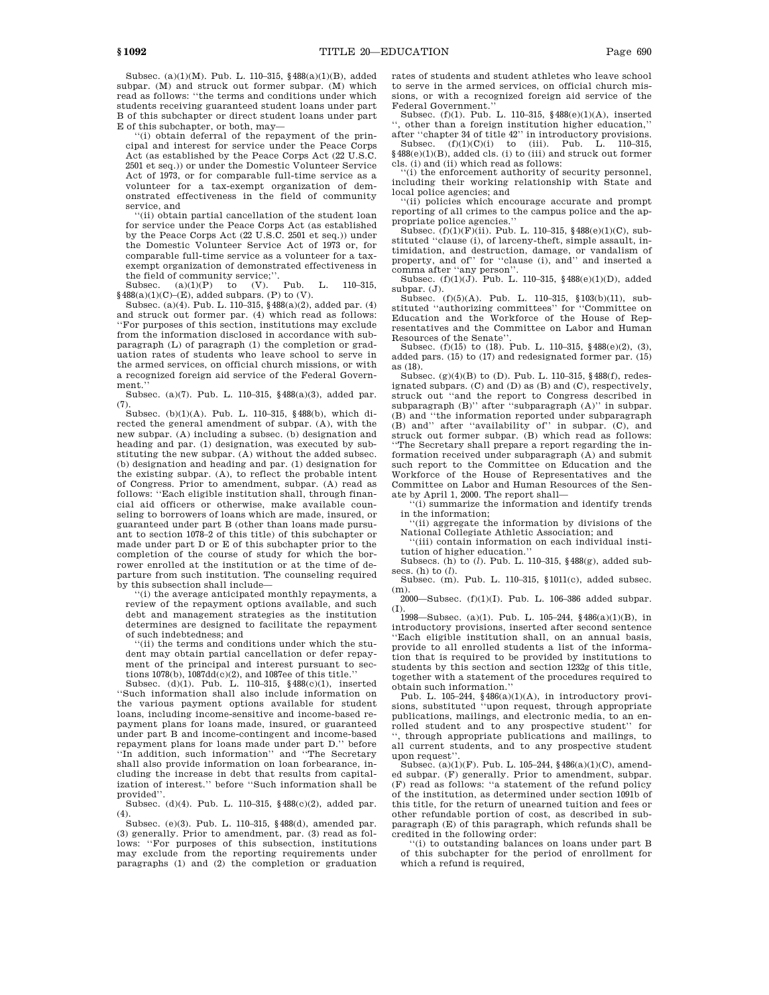Subsec. (a)(1)(M). Pub. L. 110–315, §488(a)(1)(B), added subpar. (M) and struck out former subpar. (M) which read as follows: ''the terms and conditions under which students receiving guaranteed student loans under part B of this subchapter or direct student loans under part E of this subchapter, or both, may—

''(i) obtain deferral of the repayment of the principal and interest for service under the Peace Corps Act (as established by the Peace Corps Act (22 U.S.C. 2501 et seq.)) or under the Domestic Volunteer Service Act of 1973, or for comparable full-time service as a volunteer for a tax-exempt organization of demonstrated effectiveness in the field of community service, and

''(ii) obtain partial cancellation of the student loan for service under the Peace Corps Act (as established by the Peace Corps Act (22 U.S.C. 2501 et seq.)) under the Domestic Volunteer Service Act of 1973 or, for comparable full-time service as a volunteer for a taxexempt organization of demonstrated effectiveness in

the field of community service;".<br>Subsec. (a)(1)(P) to (V). Pub. L. 110–315,  $§488(a)(1)(C)–(E)$ , added subpars. (P) to (V).

Subsec. (a)(4). Pub. L. 110–315, §488(a)(2), added par. (4) and struck out former par. (4) which read as follows: ''For purposes of this section, institutions may exclude from the information disclosed in accordance with subparagraph (L) of paragraph (1) the completion or graduation rates of students who leave school to serve in the armed services, on official church missions, or with a recognized foreign aid service of the Federal Government.

Subsec. (a)(7). Pub. L. 110–315, §488(a)(3), added par. (7).

Subsec. (b)(1)(A). Pub. L. 110–315, §488(b), which directed the general amendment of subpar. (A), with the new subpar. (A) including a subsec. (b) designation and heading and par. (1) designation, was executed by substituting the new subpar. (A) without the added subsec. (b) designation and heading and par. (1) designation for the existing subpar. (A), to reflect the probable intent of Congress. Prior to amendment, subpar. (A) read as follows: ''Each eligible institution shall, through financial aid officers or otherwise, make available counseling to borrowers of loans which are made, insured, or guaranteed under part B (other than loans made pursuant to section 1078–2 of this title) of this subchapter or made under part D or E of this subchapter prior to the completion of the course of study for which the borrower enrolled at the institution or at the time of departure from such institution. The counseling required by this subsection shall include—

''(i) the average anticipated monthly repayments, a review of the repayment options available, and such debt and management strategies as the institution determines are designed to facilitate the repayment of such indebtedness; and

''(ii) the terms and conditions under which the student may obtain partial cancellation or defer repayment of the principal and interest pursuant to sections  $1078(b)$ ,  $1087dd(c)(2)$ , and  $1087ee$  of this title.'

Subsec. (d)(1). Pub. L. 110–315, §488(c)(1), inserted ''Such information shall also include information on the various payment options available for student loans, including income-sensitive and income-based repayment plans for loans made, insured, or guaranteed under part B and income-contingent and income-based repayment plans for loans made under part D.'' before ''In addition, such information'' and ''The Secretary shall also provide information on loan forbearance, including the increase in debt that results from capitalization of interest.'' before ''Such information shall be provided''.

Subsec. (d)(4). Pub. L. 110–315, §488(c)(2), added par.

(4). Subsec. (e)(3). Pub. L. 110–315, §488(d), amended par. (3) generally. Prior to amendment, par. (3) read as follows: ''For purposes of this subsection, institutions may exclude from the reporting requirements under paragraphs (1) and (2) the completion or graduation

rates of students and student athletes who leave school to serve in the armed services, on official church missions, or with a recognized foreign aid service of the Federal Government.''

Subsec. (f)(1). Pub. L. 110–315, §488(e)(1)(A), inserted '', other than a foreign institution higher education,''

after ''chapter 34 of title 42'' in introductory provisions. Subsec. (f)(1)(C)(i) to (iii). Pub. L. 110–315,  $\frac{1}{2488(e)(1)(B)}$ , added cls. (i) to (iii) and struck out former cls. (i) and (ii) which read as follows:

''(i) the enforcement authority of security personnel, including their working relationship with State and local police agencies; and

'(ii) policies which encourage accurate and prompt reporting of all crimes to the campus police and the appropriate police agencies.

Subsec.  $(f)(1)(F)(ii)$ . Pub. L. 110–315, §488( $e)(1)(C)$ , substituted "clause (i), of larceny-theft, simple assault, intimidation, and destruction, damage, or vandalism of property, and of'' for ''clause (i), and'' and inserted a comma after ''any person''.

Subsec. (f)(1)(J). Pub. L. 110–315, §488(e)(1)(D), added subpar. (J).

Subsec. (f)(5)(A). Pub. L. 110–315, §103(b)(11), substituted "authorizing committees" for "Committee on Education and the Workforce of the House of Representatives and the Committee on Labor and Human

Resources of the Senate''. Subsec. (f)(15) to (18). Pub. L. 110–315, §488(e)(2), (3), added pars. (15) to (17) and redesignated former par. (15) as (18).

Subsec. (g)(4)(B) to (D). Pub. L. 110–315, §488(f), redesignated subpars. (C) and (D) as (B) and (C), respectively, struck out ''and the report to Congress described in subparagraph (B)'' after ''subparagraph (A)'' in subpar. (B) and "the information reported under subparagraph (B) and'' after ''availability of'' in subpar. (C), and struck out former subpar. (B) which read as follows: ''The Secretary shall prepare a report regarding the information received under subparagraph (A) and submit such report to the Committee on Education and the Workforce of the House of Representatives and the Committee on Labor and Human Resources of the Senate by April 1, 2000. The report shall—

(i) summarize the information and identify trends in the information;

''(ii) aggregate the information by divisions of the National Collegiate Athletic Association; and

'(iii) contain information on each individual institution of higher education.''

Subsecs. (h) to (*l*). Pub. L. 110–315, §488(g), added subsecs. (h) to (*l*).

Subsec. (m). Pub. L. 110–315, §1011(c), added subsec.  $(m)$ 

2000—Subsec. (f)(1)(I). Pub. L. 106–386 added subpar. (I).

1998—Subsec. (a)(1). Pub. L. 105–244, §486(a)(1)(B), in introductory provisions, inserted after second sentence ''Each eligible institution shall, on an annual basis, provide to all enrolled students a list of the information that is required to be provided by institutions to students by this section and section 1232g of this title, together with a statement of the procedures required to obtain such information.''

Pub. L. 105–244, §486(a)(1)(A), in introductory provi-sions, substituted ''upon request, through appropriate publications, mailings, and electronic media, to an enrolled student and to any prospective student'' for through appropriate publications and mailings, to all current students, and to any prospective student upon request''.

Subsec. (a)(1)(F). Pub. L. 105–244, §486(a)(1)(C), amended subpar. (F) generally. Prior to amendment, subpar. (F) read as follows: ''a statement of the refund policy of the institution, as determined under section 1091b of this title, for the return of unearned tuition and fees or other refundable portion of cost, as described in subparagraph (E) of this paragraph, which refunds shall be credited in the following order:

 $\mathbf f(i)$  to outstanding balances on loans under part  $\mathbf B$ of this subchapter for the period of enrollment for which a refund is required,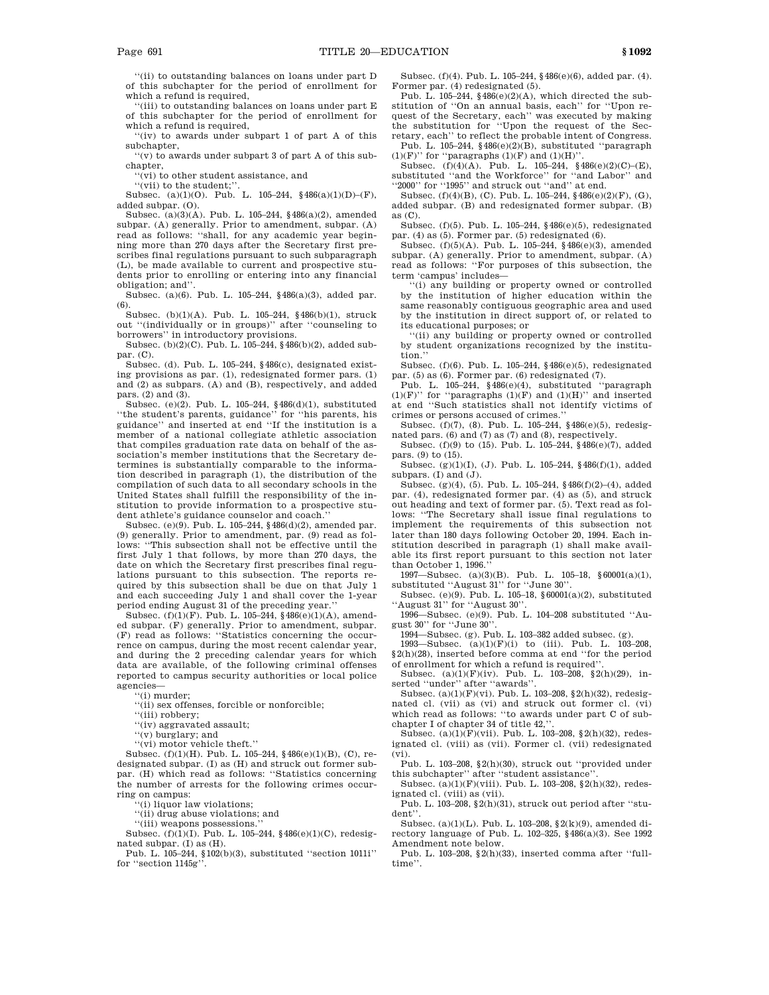''(ii) to outstanding balances on loans under part D of this subchapter for the period of enrollment for which a refund is required,

(iii) to outstanding balances on loans under part E of this subchapter for the period of enrollment for which a refund is required,

''(iv) to awards under subpart 1 of part A of this subchapter,

''(v) to awards under subpart 3 of part A of this subchapter,

''(vi) to other student assistance, and

''(vii) to the student;''.

Subsec. (a)(1)(O). Pub. L. 105–244, §486(a)(1)(D)–(F), added subpar. (O).

Subsec. (a)(3)(A). Pub. L. 105–244, §486(a)(2), amended subpar. (A) generally. Prior to amendment, subpar. (A) read as follows: ''shall, for any academic year beginning more than 270 days after the Secretary first prescribes final regulations pursuant to such subparagraph (L), be made available to current and prospective students prior to enrolling or entering into any financial obligation; and''.

Subsec. (a)(6). Pub. L. 105–244, §486(a)(3), added par. (6).

Subsec. (b)(1)(A). Pub. L. 105–244, §486(b)(1), struck out ''(individually or in groups)'' after ''counseling to borrowers'' in introductory provisions.

Subsec. (b)(2)(C). Pub. L. 105–244, §486(b)(2), added subpar. (C).

Subsec. (d). Pub. L. 105–244, §486(c), designated existing provisions as par. (1), redesignated former pars. (1) and (2) as subpars. (A) and (B), respectively, and added pars. (2) and (3).

Subsec. (e)(2). Pub. L. 105–244, §486(d)(1), substituted ''the student's parents, guidance'' for ''his parents, his guidance'' and inserted at end ''If the institution is a member of a national collegiate athletic association that compiles graduation rate data on behalf of the association's member institutions that the Secretary determines is substantially comparable to the information described in paragraph (1), the distribution of the compilation of such data to all secondary schools in the United States shall fulfill the responsibility of the institution to provide information to a prospective student athlete's guidance counselor and coach.''

Subsec. (e)(9). Pub. L. 105–244, §486(d)(2), amended par. (9) generally. Prior to amendment, par. (9) read as follows: ''This subsection shall not be effective until the first July 1 that follows, by more than 270 days, the date on which the Secretary first prescribes final regulations pursuant to this subsection. The reports required by this subsection shall be due on that July 1 and each succeeding July 1 and shall cover the 1-year period ending August 31 of the preceding year.''

Subsec. (f)(1)(F). Pub. L. 105–244, §486(e)(1)(A), amended subpar. (F) generally. Prior to amendment, subpar. (F) read as follows: ''Statistics concerning the occurrence on campus, during the most recent calendar year, and during the 2 preceding calendar years for which data are available, of the following criminal offenses reported to campus security authorities or local police agencies—

''(i) murder;

''(ii) sex offenses, forcible or nonforcible;

"(iii) robbery;

''(iv) aggravated assault;

''(v) burglary; and

''(vi) motor vehicle theft.''

Subsec. (f)(1)(H). Pub. L. 105–244, §486(e)(1)(B), (C), redesignated subpar. (I) as (H) and struck out former subpar. (H) which read as follows: ''Statistics concerning the number of arrests for the following crimes occurring on campus:

''(i) liquor law violations;

''(ii) drug abuse violations; and

''(iii) weapons possessions.''

Subsec. (f)(1)(I). Pub. L. 105–244, §486(e)(1)(C), redesig-

nated subpar. (I) as (H). Pub. L. 105–244, §102(b)(3), substituted ''section 1011i'' for ''section 1145g''.

Subsec. (f)(4). Pub. L. 105–244, §486(e)(6), added par. (4). Former par. (4) redesignated (5).

Pub. L. 105–244,  $$486(e)(2)(A)$ , which directed the substitution of ''On an annual basis, each'' for ''Upon request of the Secretary, each'' was executed by making the substitution for ''Upon the request of the Secretary, each'' to reflect the probable intent of Congress. Pub. L. 105–244, §486(e)(2)(B), substituted "paragraph

(1)(F)'' for "paragraphs (1)(F) and (1)(H)".<br>Subsec. (f)(4)(A). Pub. L. 105–244, §486(e)(2)(C)–(E),

substituted ''and the Workforce'' for ''and Labor'' and ''2000'' for ''1995'' and struck out ''and'' at end.

Subsec. (f)(4)(B), (C). Pub. L. 105–244, §486(e)(2)(F), (G), added subpar. (B) and redesignated former subpar. (B) as (C).

Subsec. (f)(5). Pub. L. 105–244, §486(e)(5), redesignated par. (4) as (5). Former par. (5) redesignated (6).

Subsec. (f)(5)(A). Pub. L. 105–244, §486(e)(3), amended subpar. (A) generally. Prior to amendment, subpar. (A) read as follows: ''For purposes of this subsection, the term 'campus' includes—

''(i) any building or property owned or controlled by the institution of higher education within the same reasonably contiguous geographic area and used by the institution in direct support of, or related to its educational purposes; or

''(ii) any building or property owned or controlled by student organizations recognized by the institution.''

Subsec. (f)(6). Pub. L. 105–244, §486(e)(5), redesignated par. (5) as (6). Former par. (6) redesignated (7).

Pub. L. 105–244, §486(e)(4), substituted ''paragraph  $(1)(F)$ " for "paragraphs  $(1)(F)$  and  $(1)(H)$ " and inserted at end ''Such statistics shall not identify victims of crimes or persons accused of crimes.''

Subsec. (f)(7), (8). Pub. L. 105–244, §486(e)(5), redesignated pars. (6) and (7) as (7) and (8), respectively.

Subsec. (f)(9) to (15). Pub. L. 105–244, §486(e)(7), added pars. (9) to (15).

Subsec. (g)(1)(I), (J). Pub. L. 105–244, §486(f)(1), added subpars. (I) and (J).

Subsec. (g)(4), (5). Pub. L. 105–244, §486(f)(2)–(4), added par. (4), redesignated former par. (4) as (5), and struck out heading and text of former par. (5). Text read as follows: ''The Secretary shall issue final regulations to implement the requirements of this subsection not later than 180 days following October 20, 1994. Each institution described in paragraph (1) shall make available its first report pursuant to this section not later than October 1, 1996.

1997—Subsec. (a)(3)(B). Pub. L. 105–18, §60001(a)(1), substituted ''August 31'' for ''June 30''. Subsec. (e)(9). Pub. L. 105–18, §60001(a)(2), substituted

'August 31" for "August 30".

1996—Subsec. (e)(9). Pub. L. 104–208 substituted ''August 30'' for ''June 30''.

1994—Subsec. (g). Pub. L. 103–382 added subsec. (g).

1993—Subsec. (a)(1)(F)(i) to (iii). Pub. L. 103–208, §2(h)(28), inserted before comma at end ''for the period of enrollment for which a refund is required''.

Subsec.  $(a)(1)(F)(iv)$ . Pub. L. 103-208, §2 $(h)(29)$ , inserted ''under'' after ''awards''.

Subsec.  $(a)(1)(F)(vi)$ . Pub. L. 103–208, §2(h)(32), redesignated cl. (vii) as (vi) and struck out former cl. (vi) which read as follows: ''to awards under part C of subchapter I of chapter 34 of title 42,

Subsec. (a)(1)(F)(vii). Pub. L. 103-208, §2(h)(32), redesignated cl. (viii) as (vii). Former cl. (vii) redesignated (vi).

Pub. L. 103–208, §2(h)(30), struck out ''provided under this subchapter'' after ''student assistance''.

Subsec. (a)(1)(F)(viii). Pub. L. 103–208, §2(h)(32), redesignated cl. (viii) as (vii).

Pub. L. 103–208, §2(h)(31), struck out period after ''student''.

Subsec. (a)(1)(L). Pub. L. 103–208, §2(k)(9), amended directory language of Pub. L. 102–325, §486(a)(3). See 1992 Amendment note below.

Pub. L. 103–208, §2(h)(33), inserted comma after ''fulltime''.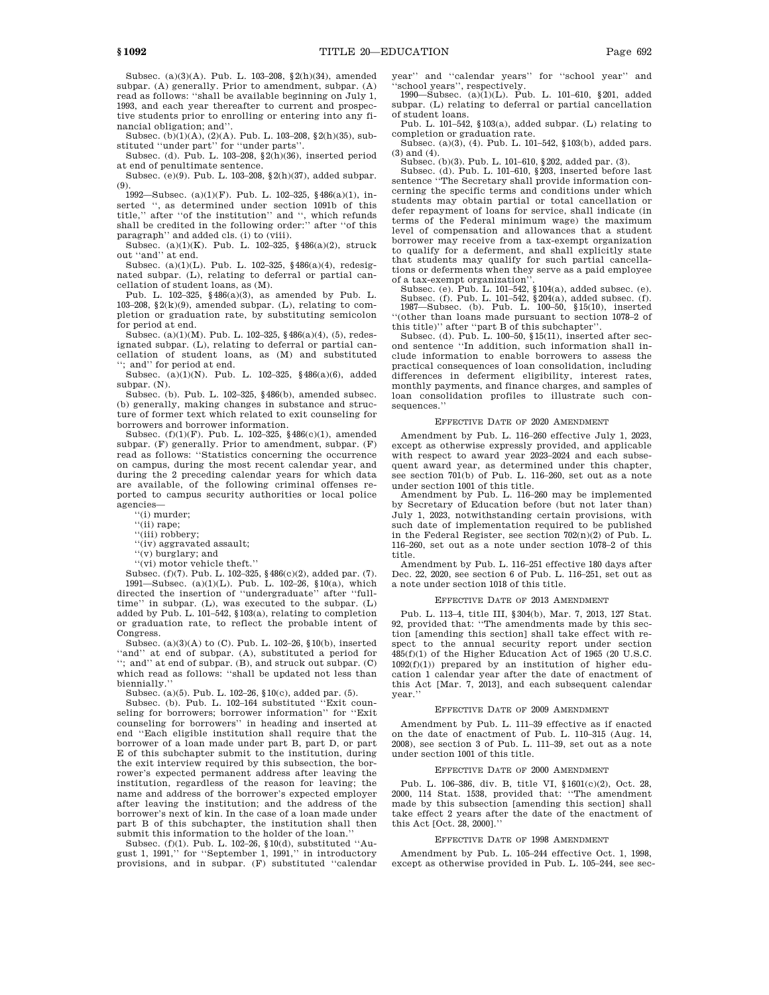Subsec. (a)(3)(A). Pub. L. 103–208, §2(h)(34), amended subpar. (A) generally. Prior to amendment, subpar. (A) read as follows: ''shall be available beginning on July 1, 1993, and each year thereafter to current and prospective students prior to enrolling or entering into any financial obligation; and''.

Subsec. (b)(1)(A), (2)(A). Pub. L. 103–208, §2(h)(35), substituted ''under part'' for ''under parts''.

Subsec. (d). Pub. L. 103-208,  $\S(2\bar{h})$ (36), inserted period at end of penultimate sentence.

Subsec. (e)(9). Pub. L. 103–208, §2(h)(37), added subpar. (9).

1992—Subsec. (a)(1)(F). Pub. L. 102–325, §486(a)(1), inserted '', as determined under section 1091b of this title,'' after ''of the institution'' and '', which refunds shall be credited in the following order:'' after ''of this paragraph" and added cls. (i) to (viii).

Subsec. (a)(1)(K). Pub. L. 102–325, §486(a)(2), struck out ''and'' at end.

Subsec. (a)(1)(L). Pub. L. 102–325, §486(a)(4), redesignated subpar. (L), relating to deferral or partial cancellation of student loans, as (M).

Pub. L. 102–325, §486(a)(3), as amended by Pub. L. 103–208,  $\S2(k)(9)$ , amended subpar. (L), relating to completion or graduation rate, by substituting semicolon for period at end.

Subsec. (a)(1)(M). Pub. L. 102–325, §486(a)(4), (5), redesignated subpar. (L), relating to deferral or partial cancellation of student loans, as (M) and substituted ; and" for period at end.

Subsec. (a)(1)(N). Pub. L. 102–325, §486(a)(6), added subpar. (N).

Subsec. (b). Pub. L. 102–325, §486(b), amended subsec. (b) generally, making changes in substance and structure of former text which related to exit counseling for borrowers and borrower information.

Subsec. (f)(1)(F). Pub. L. 102–325, §486(c)(1), amended subpar. (F) generally. Prior to amendment, subpar. (F) read as follows: ''Statistics concerning the occurrence on campus, during the most recent calendar year, and during the 2 preceding calendar years for which data are available, of the following criminal offenses reported to campus security authorities or local police agencies—

''(i) murder;

''(ii) rape;

''(iii) robbery;

''(iv) aggravated assault;

''(v) burglary; and

''(vi) motor vehicle theft.''

Subsec. (f)(7). Pub. L. 102–325, §486(c)(2), added par. (7). 1991—Subsec. (a)(1)(L). Pub. L. 102–26, §10(a), which directed the insertion of ''undergraduate'' after ''fulltime'' in subpar. (L), was executed to the subpar. (L) added by Pub. L. 101–542, §103(a), relating to completion or graduation rate, to reflect the probable intent of Congress.

Subsec. (a)(3)(A) to (C). Pub. L. 102–26, §10(b), inserted ''and'' at end of subpar. (A), substituted a period for ''; and'' at end of subpar. (B), and struck out subpar. (C) which read as follows: "shall be updated not less than biennially.

Subsec. (a)(5). Pub. L. 102–26, §10(c), added par. (5).

Subsec. (b). Pub. L. 102–164 substituted ''Exit counseling for borrowers; borrower information'' for ''Exit counseling for borrowers'' in heading and inserted at end ''Each eligible institution shall require that the borrower of a loan made under part B, part D, or part E of this subchapter submit to the institution, during the exit interview required by this subsection, the borrower's expected permanent address after leaving the institution, regardless of the reason for leaving; the name and address of the borrower's expected employer after leaving the institution; and the address of the borrower's next of kin. In the case of a loan made under part B of this subchapter, the institution shall then submit this information to the holder of the loan.

Subsec. (f)(1). Pub. L. 102–26, §10(d), substituted ''Au-gust 1, 1991,'' for ''September 1, 1991,'' in introductory provisions, and in subpar. (F) substituted ''calendar year'' and ''calendar years'' for ''school year'' and

"school years", respectively.<br>
1990—Subsec.  $(a)(1)(L)$ . Pub. L. 101–610, §201, added subpar. (L) relating to deferral or partial cancellation of student loans.

Pub. L. 101–542, §103(a), added subpar. (L) relating to completion or graduation rate.

Subsec. (a)(3), (4). Pub. L. 101–542, §103(b), added pars. (3) and (4).

Subsec. (b)(3). Pub. L. 101–610, §202, added par. (3).

Subsec. (d). Pub. L. 101–610, §203, inserted before last sentence ''The Secretary shall provide information concerning the specific terms and conditions under which students may obtain partial or total cancellation or defer repayment of loans for service, shall indicate (in terms of the Federal minimum wage) the maximum level of compensation and allowances that a student borrower may receive from a tax-exempt organization to qualify for a deferment, and shall explicitly state that students may qualify for such partial cancellations or deferments when they serve as a paid employee

of a tax-exempt organization''. Subsec. (e). Pub. L. 101–542, §104(a), added subsec. (e).

Subsec. (f). Pub. L. 101–542, §204(a), added subsec. (f). 1987—Subsec. (b). Pub. L. 100–50, §15(10), inserted ''(other than loans made pursuant to section 1078–2 of this title)'' after ''part B of this subchapter''.

Subsec. (d). Pub. L. 100–50, §15(11), inserted after second sentence ''In addition, such information shall include information to enable borrowers to assess the practical consequences of loan consolidation, including differences in deferment eligibility, interest rates, monthly payments, and finance charges, and samples of loan consolidation profiles to illustrate such consequences.''

### EFFECTIVE DATE OF 2020 AMENDMENT

Amendment by Pub. L. 116–260 effective July 1, 2023, except as otherwise expressly provided, and applicable with respect to award year 2023–2024 and each subsequent award year, as determined under this chapter, see section 701(b) of Pub. L. 116–260, set out as a note under section 1001 of this title.

Amendment by Pub. L. 116–260 may be implemented by Secretary of Education before (but not later than) July 1, 2023, notwithstanding certain provisions, with such date of implementation required to be published in the Federal Register, see section 702(n)(2) of Pub. L. 116–260, set out as a note under section 1078–2 of this title.

Amendment by Pub. L. 116–251 effective 180 days after Dec. 22, 2020, see section 6 of Pub. L. 116–251, set out as a note under section 1018 of this title.

### EFFECTIVE DATE OF 2013 AMENDMENT

Pub. L. 113–4, title III, §304(b), Mar. 7, 2013, 127 Stat. 92, provided that: ''The amendments made by this section [amending this section] shall take effect with respect to the annual security report under section 485(f)(1) of the Higher Education Act of 1965 (20 U.S.C. 1092(f)(1)) prepared by an institution of higher education 1 calendar year after the date of enactment of this Act [Mar. 7, 2013], and each subsequent calendar vear.

### EFFECTIVE DATE OF 2009 AMENDMENT

Amendment by Pub. L. 111–39 effective as if enacted on the date of enactment of Pub. L. 110–315 (Aug. 14, 2008), see section 3 of Pub. L. 111–39, set out as a note under section 1001 of this title.

#### EFFECTIVE DATE OF 2000 AMENDMENT

Pub. L. 106–386, div. B, title VI, §1601(c)(2), Oct. 28, 2000, 114 Stat. 1538, provided that: ''The amendment made by this subsection [amending this section] shall take effect 2 years after the date of the enactment of this Act [Oct. 28, 2000].''

#### EFFECTIVE DATE OF 1998 AMENDMENT

Amendment by Pub. L. 105–244 effective Oct. 1, 1998, except as otherwise provided in Pub. L. 105–244, see sec-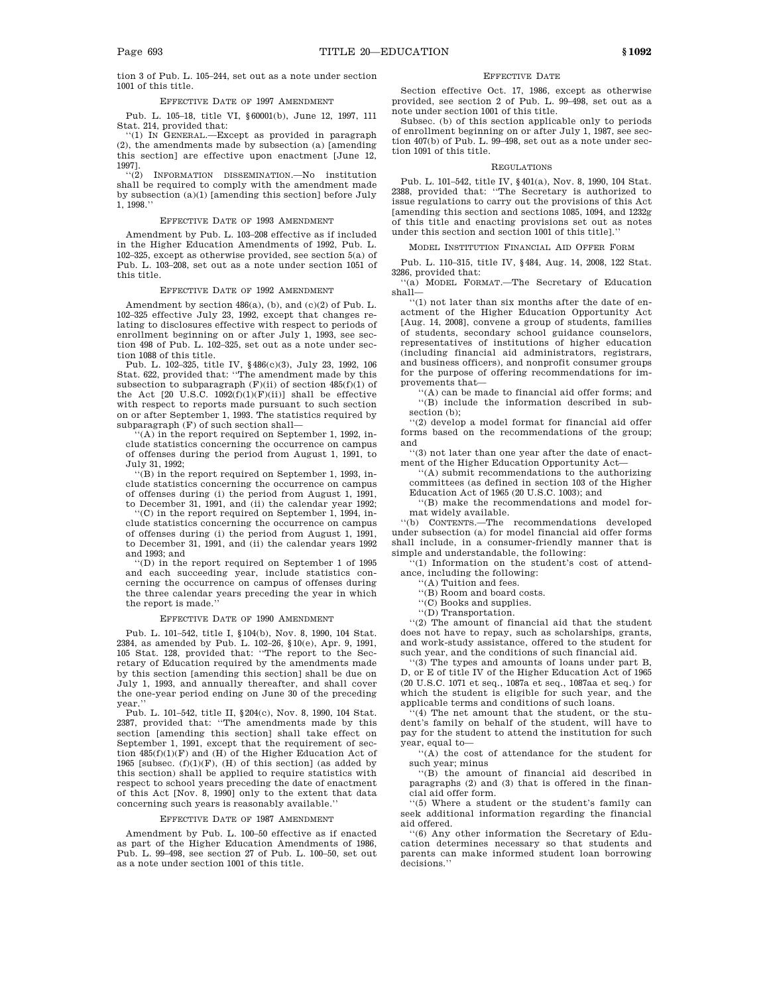tion 3 of Pub. L. 105–244, set out as a note under section 1001 of this title.

#### EFFECTIVE DATE OF 1997 AMENDMENT

Pub. L. 105–18, title VI, §60001(b), June 12, 1997, 111 Stat. 214, provided that:

''(1) IN GENERAL.—Except as provided in paragraph (2), the amendments made by subsection (a) [amending this section] are effective upon enactment [June 12, 1997].

''(2) INFORMATION DISSEMINATION.—No institution shall be required to comply with the amendment made by subsection (a)(1) [amending this section] before July 1, 1998.''

#### EFFECTIVE DATE OF 1993 AMENDMENT

Amendment by Pub. L. 103–208 effective as if included in the Higher Education Amendments of 1992, Pub. L. 102–325, except as otherwise provided, see section 5(a) of Pub. L. 103–208, set out as a note under section 1051 of this title.

### EFFECTIVE DATE OF 1992 AMENDMENT

Amendment by section 486(a), (b), and (c)(2) of Pub. L. 102–325 effective July 23, 1992, except that changes relating to disclosures effective with respect to periods of enrollment beginning on or after July 1, 1993, see section 498 of Pub. L. 102–325, set out as a note under section 1088 of this title.

Pub. L. 102–325, title IV, §486(c)(3), July 23, 1992, 106 Stat. 622, provided that: ''The amendment made by this subsection to subparagraph  $(F)(ii)$  of section 485(f)(1) of the Act  $[20 \text{ U.S.C. } 1092(f)(1)(F)(ii)]$  shall be effective with respect to reports made pursuant to such section on or after September 1, 1993. The statistics required by subparagraph (F) of such section shall—

 $(A)$  in the report required on September 1, 1992, include statistics concerning the occurrence on campus of offenses during the period from August 1, 1991, to July 31, 1992;

''(B) in the report required on September 1, 1993, include statistics concerning the occurrence on campus of offenses during (i) the period from August 1, 1991, to December 31, 1991, and (ii) the calendar year 1992;

''(C) in the report required on September 1, 1994, include statistics concerning the occurrence on campus of offenses during (i) the period from August 1, 1991, to December 31, 1991, and (ii) the calendar years 1992 and 1993; and

''(D) in the report required on September 1 of 1995 and each succeeding year, include statistics concerning the occurrence on campus of offenses during the three calendar years preceding the year in which the report is made.''

#### EFFECTIVE DATE OF 1990 AMENDMENT

Pub. L. 101–542, title I, §104(b), Nov. 8, 1990, 104 Stat. 2384, as amended by Pub. L. 102–26, §10(e), Apr. 9, 1991, 105 Stat. 128, provided that: ''The report to the Secretary of Education required by the amendments made by this section [amending this section] shall be due on July 1, 1993, and annually thereafter, and shall cover the one-year period ending on June 30 of the preceding year.''

Pub. L. 101–542, title II, §204(c), Nov. 8, 1990, 104 Stat. 2387, provided that: ''The amendments made by this section [amending this section] shall take effect on September 1, 1991, except that the requirement of section  $485(f)(1)(F)$  and  $(H)$  of the Higher Education Act of 1965 [subsec.  $(f)(1)(F)$ ,  $(H)$  of this section] (as added by this section) shall be applied to require statistics with respect to school years preceding the date of enactment of this Act [Nov. 8, 1990] only to the extent that data concerning such years is reasonably available.''

#### EFFECTIVE DATE OF 1987 AMENDMENT

Amendment by Pub. L. 100–50 effective as if enacted as part of the Higher Education Amendments of 1986, Pub. L. 99–498, see section 27 of Pub. L. 100–50, set out as a note under section 1001 of this title.

#### EFFECTIVE DATE

Section effective Oct. 17, 1986, except as otherwise provided, see section 2 of Pub. L. 99–498, set out as a note under section 1001 of this title.

Subsec. (b) of this section applicable only to periods of enrollment beginning on or after July 1, 1987, see section 407(b) of Pub. L. 99–498, set out as a note under section 1091 of this title.

#### REGULATIONS

Pub. L. 101–542, title IV, §401(a), Nov. 8, 1990, 104 Stat. 2388, provided that: ''The Secretary is authorized to issue regulations to carry out the provisions of this Act [amending this section and sections 1085, 1094, and 1232g of this title and enacting provisions set out as notes under this section and section 1001 of this title].''

MODEL INSTITUTION FINANCIAL AID OFFER FORM

Pub. L. 110–315, title IV, §484, Aug. 14, 2008, 122 Stat. 3286, provided that:

''(a) MODEL FORMAT.—The Secretary of Education shall—

''(1) not later than six months after the date of enactment of the Higher Education Opportunity Act [Aug. 14, 2008], convene a group of students, families of students, secondary school guidance counselors, representatives of institutions of higher education (including financial aid administrators, registrars, and business officers), and nonprofit consumer groups for the purpose of offering recommendations for improvements that—

'(A) can be made to financial aid offer forms; and ''(B) include the information described in subsection (b);

''(2) develop a model format for financial aid offer forms based on the recommendations of the group; and

''(3) not later than one year after the date of enactment of the Higher Education Opportunity Act—

''(A) submit recommendations to the authorizing committees (as defined in section 103 of the Higher Education Act of 1965 (20 U.S.C. 1003); and

''(B) make the recommendations and model format widely available.

''(b) CONTENTS.—The recommendations developed under subsection (a) for model financial aid offer forms shall include, in a consumer-friendly manner that is simple and understandable, the following:

''(1) Information on the student's cost of attendance, including the following:

''(A) Tuition and fees.

''(B) Room and board costs.

''(C) Books and supplies.

''(D) Transportation.

''(2) The amount of financial aid that the student does not have to repay, such as scholarships, grants, and work-study assistance, offered to the student for such year, and the conditions of such financial aid.

''(3) The types and amounts of loans under part B, D, or E of title IV of the Higher Education Act of 1965 (20 U.S.C. 1071 et seq., 1087a et seq., 1087aa et seq.) for which the student is eligible for such year, and the applicable terms and conditions of such loans.

'(4) The net amount that the student, or the student's family on behalf of the student, will have to pay for the student to attend the institution for such year, equal to—

''(A) the cost of attendance for the student for such year; minus

''(B) the amount of financial aid described in paragraphs (2) and (3) that is offered in the financial aid offer form.

''(5) Where a student or the student's family can seek additional information regarding the financial aid offered.

''(6) Any other information the Secretary of Education determines necessary so that students and parents can make informed student loan borrowing decisions.'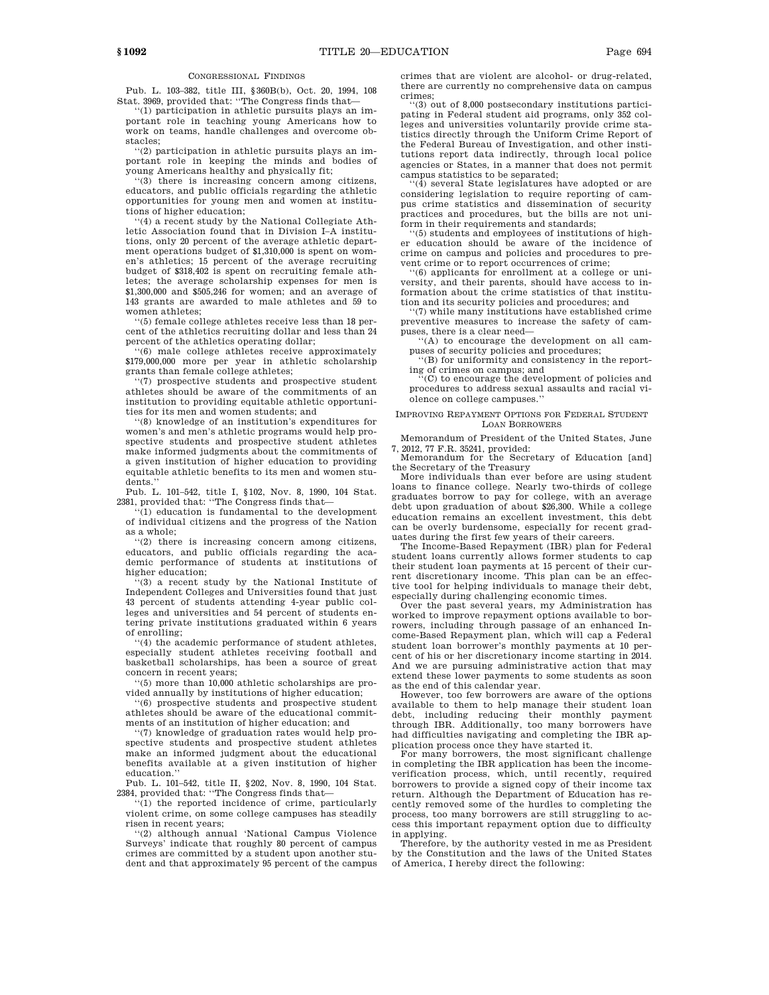#### CONGRESSIONAL FINDINGS

Pub. L. 103–382, title III, §360B(b), Oct. 20, 1994, 108 Stat. 3969, provided that: ''The Congress finds that—

 $(1)$  participation in athletic pursuits plays an important role in teaching young Americans how to work on teams, handle challenges and overcome obstacles;

''(2) participation in athletic pursuits plays an important role in keeping the minds and bodies of young Americans healthy and physically fit;

''(3) there is increasing concern among citizens, educators, and public officials regarding the athletic opportunities for young men and women at institutions of higher education;

''(4) a recent study by the National Collegiate Athletic Association found that in Division I–A institutions, only 20 percent of the average athletic department operations budget of \$1,310,000 is spent on women's athletics; 15 percent of the average recruiting budget of \$318,402 is spent on recruiting female athletes; the average scholarship expenses for men is \$1,300,000 and \$505,246 for women; and an average of 143 grants are awarded to male athletes and 59 to women athletes;

''(5) female college athletes receive less than 18 percent of the athletics recruiting dollar and less than 24 percent of the athletics operating dollar;

(6) male college athletes receive approximately \$179,000,000 more per year in athletic scholarship grants than female college athletes;

''(7) prospective students and prospective student athletes should be aware of the commitments of an institution to providing equitable athletic opportunities for its men and women students; and

''(8) knowledge of an institution's expenditures for women's and men's athletic programs would help prospective students and prospective student athletes make informed judgments about the commitments of a given institution of higher education to providing equitable athletic benefits to its men and women students.'

Pub. L. 101–542, title I, §102, Nov. 8, 1990, 104 Stat. 2381, provided that: ''The Congress finds that—

(1) education is fundamental to the development of individual citizens and the progress of the Nation as a whole;

''(2) there is increasing concern among citizens, educators, and public officials regarding the academic performance of students at institutions of higher education;

 $(3)$  a recent study by the National Institute of Independent Colleges and Universities found that just 43 percent of students attending 4-year public colleges and universities and 54 percent of students entering private institutions graduated within 6 years of enrolling;

''(4) the academic performance of student athletes, especially student athletes receiving football and basketball scholarships, has been a source of great concern in recent years;

''(5) more than 10,000 athletic scholarships are provided annually by institutions of higher education;

''(6) prospective students and prospective student athletes should be aware of the educational commitments of an institution of higher education; and

'(7) knowledge of graduation rates would help prospective students and prospective student athletes make an informed judgment about the educational benefits available at a given institution of higher education.''

Pub. L. 101–542, title II, §202, Nov. 8, 1990, 104 Stat. 2384, provided that: ''The Congress finds that—

'(1) the reported incidence of crime, particularly violent crime, on some college campuses has steadily risen in recent years;

''(2) although annual 'National Campus Violence Surveys' indicate that roughly 80 percent of campus crimes are committed by a student upon another student and that approximately 95 percent of the campus crimes that are violent are alcohol- or drug-related, there are currently no comprehensive data on campus crimes;

''(3) out of 8,000 postsecondary institutions participating in Federal student aid programs, only 352 colleges and universities voluntarily provide crime statistics directly through the Uniform Crime Report of the Federal Bureau of Investigation, and other institutions report data indirectly, through local police agencies or States, in a manner that does not permit

campus statistics to be separated; ''(4) several State legislatures have adopted or are considering legislation to require reporting of campus crime statistics and dissemination of security practices and procedures, but the bills are not uniform in their requirements and standards;

''(5) students and employees of institutions of higher education should be aware of the incidence of crime on campus and policies and procedures to prevent crime or to report occurrences of crime;

 $(6)$  applicants for enrollment at a college or university, and their parents, should have access to information about the crime statistics of that institution and its security policies and procedures; and

'(7) while many institutions have established crime preventive measures to increase the safety of campuses, there is a clear need—

''(A) to encourage the development on all campuses of security policies and procedures;

''(B) for uniformity and consistency in the report-

ing of crimes on campus; and ''(C) to encourage the development of policies and procedures to address sexual assaults and racial violence on college campuses.''

IMPROVING REPAYMENT OPTIONS FOR FEDERAL STUDENT LOAN BORROWERS

Memorandum of President of the United States, June

7, 2012, 77 F.R. 35241, provided: Memorandum for the Secretary of Education [and] the Secretary of the Treasury

More individuals than ever before are using student loans to finance college. Nearly two-thirds of college graduates borrow to pay for college, with an average debt upon graduation of about \$26,300. While a college education remains an excellent investment, this debt can be overly burdensome, especially for recent graduates during the first few years of their careers.

The Income-Based Repayment (IBR) plan for Federal student loans currently allows former students to cap their student loan payments at 15 percent of their current discretionary income. This plan can be an effective tool for helping individuals to manage their debt, especially during challenging economic times.

Over the past several years, my Administration has worked to improve repayment options available to borrowers, including through passage of an enhanced Income-Based Repayment plan, which will cap a Federal student loan borrower's monthly payments at 10 percent of his or her discretionary income starting in 2014. And we are pursuing administrative action that may extend these lower payments to some students as soon as the end of this calendar year.

However, too few borrowers are aware of the options available to them to help manage their student loan debt, including reducing their monthly payment through IBR. Additionally, too many borrowers have had difficulties navigating and completing the IBR application process once they have started it.

For many borrowers, the most significant challenge in completing the IBR application has been the incomeverification process, which, until recently, required borrowers to provide a signed copy of their income tax return. Although the Department of Education has recently removed some of the hurdles to completing the process, too many borrowers are still struggling to access this important repayment option due to difficulty in applying.

Therefore, by the authority vested in me as President by the Constitution and the laws of the United States of America, I hereby direct the following: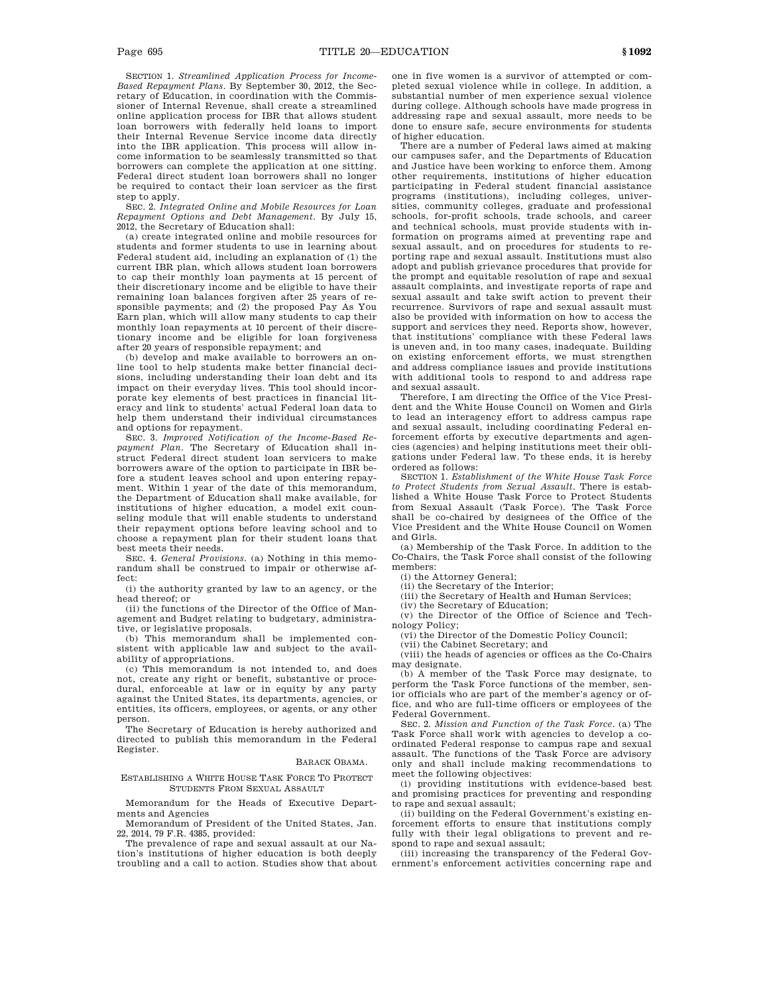SECTION 1. *Streamlined Application Process for Income-Based Repayment Plans*. By September 30, 2012, the Secretary of Education, in coordination with the Commissioner of Internal Revenue, shall create a streamlined online application process for IBR that allows student loan borrowers with federally held loans to import their Internal Revenue Service income data directly into the IBR application. This process will allow income information to be seamlessly transmitted so that borrowers can complete the application at one sitting. Federal direct student loan borrowers shall no longer be required to contact their loan servicer as the first step to apply.

SEC. 2. *Integrated Online and Mobile Resources for Loan Repayment Options and Debt Management*. By July 15, 2012, the Secretary of Education shall:

(a) create integrated online and mobile resources for students and former students to use in learning about Federal student aid, including an explanation of (1) the current IBR plan, which allows student loan borrowers to cap their monthly loan payments at 15 percent of their discretionary income and be eligible to have their remaining loan balances forgiven after 25 years of responsible payments; and (2) the proposed Pay As You Earn plan, which will allow many students to cap their monthly loan repayments at 10 percent of their discretionary income and be eligible for loan forgiveness after 20 years of responsible repayment; and

(b) develop and make available to borrowers an online tool to help students make better financial decisions, including understanding their loan debt and its impact on their everyday lives. This tool should incorporate key elements of best practices in financial literacy and link to students' actual Federal loan data to help them understand their individual circumstances and options for repayment.

SEC. 3. *Improved Notification of the Income-Based Repayment Plan*. The Secretary of Education shall instruct Federal direct student loan servicers to make borrowers aware of the option to participate in IBR before a student leaves school and upon entering repayment. Within 1 year of the date of this memorandum, the Department of Education shall make available, for institutions of higher education, a model exit counseling module that will enable students to understand their repayment options before leaving school and to choose a repayment plan for their student loans that best meets their needs.

SEC. 4. *General Provisions*. (a) Nothing in this memorandum shall be construed to impair or otherwise affect:

(i) the authority granted by law to an agency, or the head thereof; or

(ii) the functions of the Director of the Office of Management and Budget relating to budgetary, administrative, or legislative proposals.

(b) This memorandum shall be implemented consistent with applicable law and subject to the availability of appropriations.

(c) This memorandum is not intended to, and does not, create any right or benefit, substantive or procedural, enforceable at law or in equity by any party against the United States, its departments, agencies, or entities, its officers, employees, or agents, or any other person.

The Secretary of Education is hereby authorized and directed to publish this memorandum in the Federal Register.

#### BARACK OBAMA.

ESTABLISHING A WHITE HOUSE TASK FORCE TO PROTECT STUDENTS FROM SEXUAL ASSAULT

Memorandum for the Heads of Executive Departments and Agencies

Memorandum of President of the United States, Jan. 22, 2014, 79 F.R. 4385, provided:

The prevalence of rape and sexual assault at our Nation's institutions of higher education is both deeply troubling and a call to action. Studies show that about one in five women is a survivor of attempted or completed sexual violence while in college. In addition, a substantial number of men experience sexual violence during college. Although schools have made progress in addressing rape and sexual assault, more needs to be done to ensure safe, secure environments for students of higher education.

There are a number of Federal laws aimed at making our campuses safer, and the Departments of Education and Justice have been working to enforce them. Among other requirements, institutions of higher education participating in Federal student financial assistance programs (institutions), including colleges, universities, community colleges, graduate and professional schools, for-profit schools, trade schools, and career and technical schools, must provide students with information on programs aimed at preventing rape and sexual assault, and on procedures for students to reporting rape and sexual assault. Institutions must also adopt and publish grievance procedures that provide for the prompt and equitable resolution of rape and sexual assault complaints, and investigate reports of rape and sexual assault and take swift action to prevent their recurrence. Survivors of rape and sexual assault must also be provided with information on how to access the support and services they need. Reports show, however, that institutions' compliance with these Federal laws is uneven and, in too many cases, inadequate. Building on existing enforcement efforts, we must strengthen and address compliance issues and provide institutions with additional tools to respond to and address rape and sexual assault.

Therefore, I am directing the Office of the Vice President and the White House Council on Women and Girls to lead an interagency effort to address campus rape and sexual assault, including coordinating Federal enforcement efforts by executive departments and agencies (agencies) and helping institutions meet their obligations under Federal law. To these ends, it is hereby ordered as follows:

SECTION 1. *Establishment of the White House Task Force to Protect Students from Sexual Assault*. There is established a White House Task Force to Protect Students from Sexual Assault (Task Force). The Task Force shall be co-chaired by designees of the Office of the Vice President and the White House Council on Women and Girls.

(a) Membership of the Task Force. In addition to the Co-Chairs, the Task Force shall consist of the following members:

(i) the Attorney General;

(ii) the Secretary of the Interior;

(iii) the Secretary of Health and Human Services;

(iv) the Secretary of Education;

(v) the Director of the Office of Science and Technology Policy;

(vi) the Director of the Domestic Policy Council;

(vii) the Cabinet Secretary; and

(viii) the heads of agencies or offices as the Co-Chairs may designate.

(b) A member of the Task Force may designate, to perform the Task Force functions of the member, senior officials who are part of the member's agency or office, and who are full-time officers or employees of the Federal Government.

SEC. 2. *Mission and Function of the Task Force*. (a) The Task Force shall work with agencies to develop a coordinated Federal response to campus rape and sexual assault. The functions of the Task Force are advisory only and shall include making recommendations to meet the following objectives:

(i) providing institutions with evidence-based best and promising practices for preventing and responding to rape and sexual assault;

(ii) building on the Federal Government's existing enforcement efforts to ensure that institutions comply fully with their legal obligations to prevent and respond to rape and sexual assault;

(iii) increasing the transparency of the Federal Government's enforcement activities concerning rape and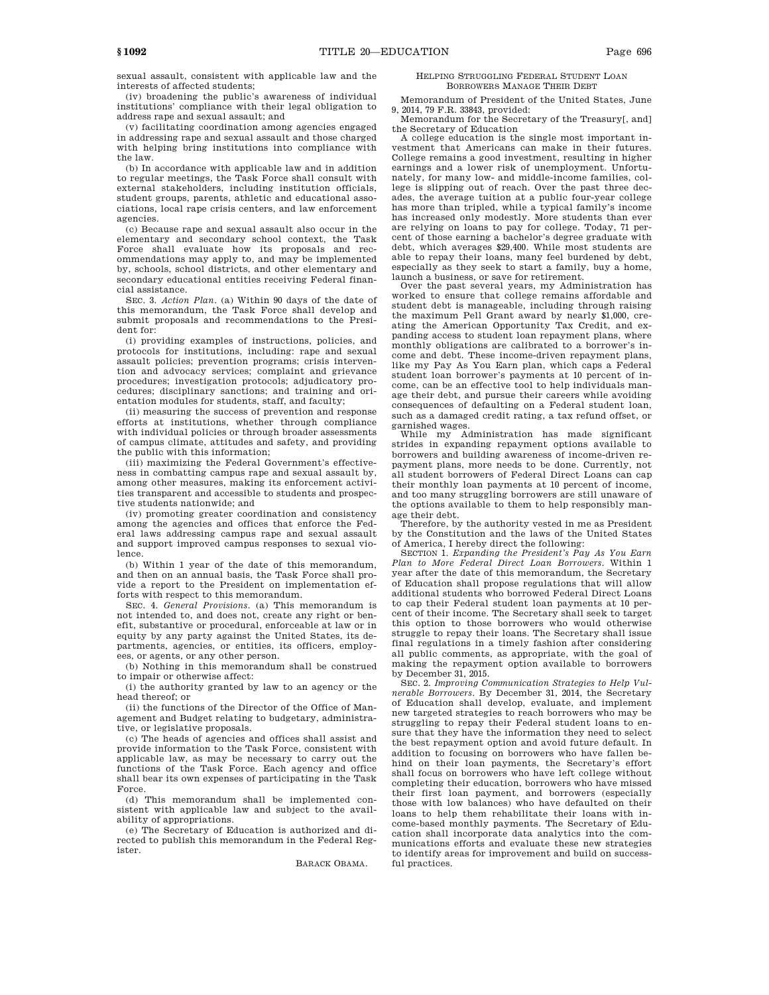sexual assault, consistent with applicable law and the interests of affected students;

(iv) broadening the public's awareness of individual institutions' compliance with their legal obligation to address rape and sexual assault; and

(v) facilitating coordination among agencies engaged in addressing rape and sexual assault and those charged with helping bring institutions into compliance with the law.

(b) In accordance with applicable law and in addition to regular meetings, the Task Force shall consult with external stakeholders, including institution officials, student groups, parents, athletic and educational associations, local rape crisis centers, and law enforcement agencies.

(c) Because rape and sexual assault also occur in the elementary and secondary school context, the Task Force shall evaluate how its proposals and recommendations may apply to, and may be implemented by, schools, school districts, and other elementary and secondary educational entities receiving Federal financial assistance.

SEC. 3. *Action Plan*. (a) Within 90 days of the date of this memorandum, the Task Force shall develop and submit proposals and recommendations to the President for:

(i) providing examples of instructions, policies, and protocols for institutions, including: rape and sexual assault policies; prevention programs; crisis intervention and advocacy services; complaint and grievance procedures; investigation protocols; adjudicatory procedures; disciplinary sanctions; and training and orientation modules for students, staff, and faculty;

(ii) measuring the success of prevention and response efforts at institutions, whether through compliance with individual policies or through broader assessments of campus climate, attitudes and safety, and providing the public with this information;

(iii) maximizing the Federal Government's effectiveness in combatting campus rape and sexual assault by, among other measures, making its enforcement activities transparent and accessible to students and prospective students nationwide; and

(iv) promoting greater coordination and consistency among the agencies and offices that enforce the Federal laws addressing campus rape and sexual assault and support improved campus responses to sexual violence.

(b) Within 1 year of the date of this memorandum, and then on an annual basis, the Task Force shall provide a report to the President on implementation efforts with respect to this memorandum.

SEC. 4. *General Provisions*. (a) This memorandum is not intended to, and does not, create any right or benefit, substantive or procedural, enforceable at law or in equity by any party against the United States, its departments, agencies, or entities, its officers, employees, or agents, or any other person.

(b) Nothing in this memorandum shall be construed to impair or otherwise affect:

(i) the authority granted by law to an agency or the head thereof; or

(ii) the functions of the Director of the Office of Management and Budget relating to budgetary, administrative, or legislative proposals.

(c) The heads of agencies and offices shall assist and provide information to the Task Force, consistent with applicable law, as may be necessary to carry out the functions of the Task Force. Each agency and office shall bear its own expenses of participating in the Task Force.

(d) This memorandum shall be implemented consistent with applicable law and subject to the availability of appropriations.

(e) The Secretary of Education is authorized and directed to publish this memorandum in the Federal Register.

BARACK OBAMA.

### HELPING STRUGGLING FEDERAL STUDENT LOAN BORROWERS MANAGE THEIR DEBT

Memorandum of President of the United States, June 9, 2014, 79 F.R. 33843, provided:

Memorandum for the Secretary of the Treasury[, and] the Secretary of Education

A college education is the single most important investment that Americans can make in their futures. College remains a good investment, resulting in higher earnings and a lower risk of unemployment. Unfortunately, for many low- and middle-income families, college is slipping out of reach. Over the past three decades, the average tuition at a public four-year college has more than tripled, while a typical family's income has increased only modestly. More students than ever are relying on loans to pay for college. Today, 71 percent of those earning a bachelor's degree graduate with debt, which averages \$29,400. While most students are able to repay their loans, many feel burdened by debt, especially as they seek to start a family, buy a home, launch a business, or save for retirement.

Over the past several years, my Administration has worked to ensure that college remains affordable and student debt is manageable, including through raising the maximum Pell Grant award by nearly \$1,000, creating the American Opportunity Tax Credit, and expanding access to student loan repayment plans, where monthly obligations are calibrated to a borrower's income and debt. These income-driven repayment plans, like my Pay As You Earn plan, which caps a Federal student loan borrower's payments at 10 percent of income, can be an effective tool to help individuals manage their debt, and pursue their careers while avoiding consequences of defaulting on a Federal student loan, such as a damaged credit rating, a tax refund offset, or garnished wages.

While my Administration has made significant strides in expanding repayment options available to borrowers and building awareness of income-driven repayment plans, more needs to be done. Currently, not all student borrowers of Federal Direct Loans can cap their monthly loan payments at 10 percent of income, and too many struggling borrowers are still unaware of the options available to them to help responsibly man-

age their debt. Therefore, by the authority vested in me as President by the Constitution and the laws of the United States of America, I hereby direct the following:

SECTION 1. *Expanding the President's Pay As You Earn Plan to More Federal Direct Loan Borrowers*. Within 1 year after the date of this memorandum, the Secretary of Education shall propose regulations that will allow additional students who borrowed Federal Direct Loans to cap their Federal student loan payments at 10 percent of their income. The Secretary shall seek to target this option to those borrowers who would otherwise struggle to repay their loans. The Secretary shall issue final regulations in a timely fashion after considering all public comments, as appropriate, with the goal of making the repayment option available to borrowers by December 31, 2015.

SEC. 2. *Improving Communication Strategies to Help Vulnerable Borrowers*. By December 31, 2014, the Secretary of Education shall develop, evaluate, and implement new targeted strategies to reach borrowers who may be struggling to repay their Federal student loans to ensure that they have the information they need to select the best repayment option and avoid future default. In addition to focusing on borrowers who have fallen behind on their loan payments, the Secretary's effort shall focus on borrowers who have left college without completing their education, borrowers who have missed their first loan payment, and borrowers (especially those with low balances) who have defaulted on their loans to help them rehabilitate their loans with income-based monthly payments. The Secretary of Education shall incorporate data analytics into the communications efforts and evaluate these new strategies to identify areas for improvement and build on successful practices.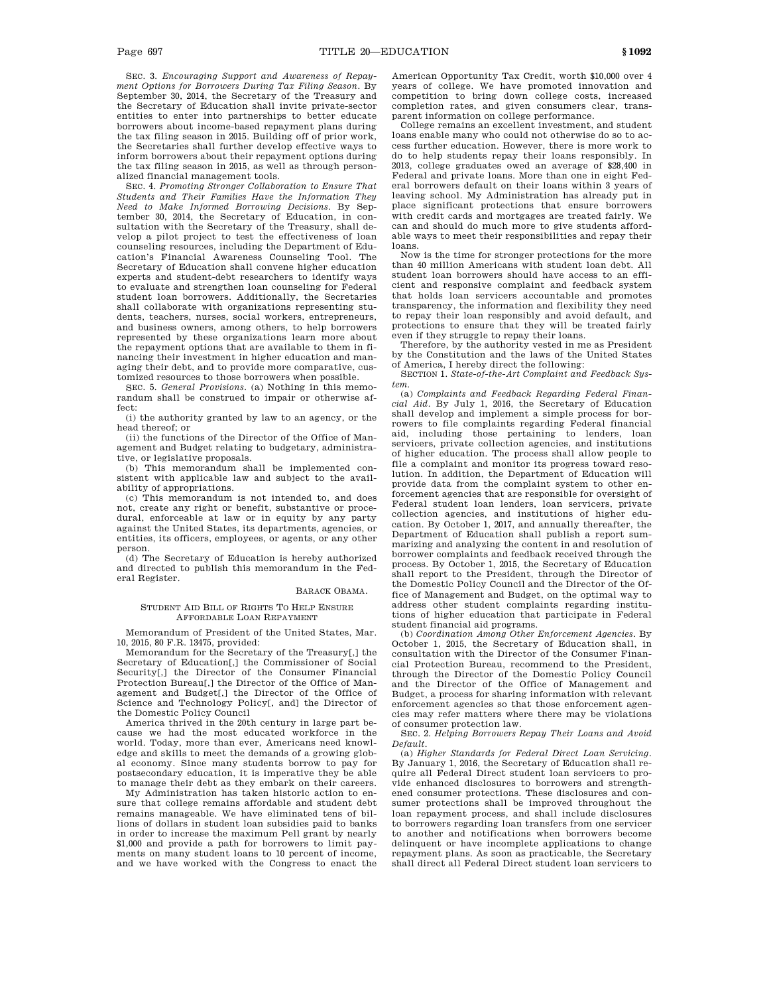SEC. 3. *Encouraging Support and Awareness of Repayment Options for Borrowers During Tax Filing Season*. By September 30, 2014, the Secretary of the Treasury and the Secretary of Education shall invite private-sector entities to enter into partnerships to better educate borrowers about income-based repayment plans during the tax filing season in 2015. Building off of prior work, the Secretaries shall further develop effective ways to inform borrowers about their repayment options during the tax filing season in 2015, as well as through personalized financial management tools.

SEC. 4. *Promoting Stronger Collaboration to Ensure That Students and Their Families Have the Information They Need to Make Informed Borrowing Decisions*. By September 30, 2014, the Secretary of Education, in consultation with the Secretary of the Treasury, shall develop a pilot project to test the effectiveness of loan counseling resources, including the Department of Education's Financial Awareness Counseling Tool. The Secretary of Education shall convene higher education experts and student-debt researchers to identify ways to evaluate and strengthen loan counseling for Federal student loan borrowers. Additionally, the Secretaries shall collaborate with organizations representing students, teachers, nurses, social workers, entrepreneurs, and business owners, among others, to help borrowers represented by these organizations learn more about the repayment options that are available to them in financing their investment in higher education and managing their debt, and to provide more comparative, customized resources to those borrowers when possible.

SEC. 5. *General Provisions*. (a) Nothing in this memorandum shall be construed to impair or otherwise affect:

(i) the authority granted by law to an agency, or the head thereof; or

(ii) the functions of the Director of the Office of Management and Budget relating to budgetary, administrative, or legislative proposals.

(b) This memorandum shall be implemented consistent with applicable law and subject to the availability of appropriations.

(c) This memorandum is not intended to, and does not, create any right or benefit, substantive or procedural, enforceable at law or in equity by any party against the United States, its departments, agencies, or entities, its officers, employees, or agents, or any other person.

(d) The Secretary of Education is hereby authorized and directed to publish this memorandum in the Federal Register.

## BARACK OBAMA.

#### STUDENT AID BILL OF RIGHTS TO HELP ENSURE AFFORDABLE LOAN REPAYMENT

Memorandum of President of the United States, Mar. 10, 2015, 80 F.R. 13475, provided:

Memorandum for the Secretary of the Treasury[,] the Secretary of Education[,] the Commissioner of Social Security[,] the Director of the Consumer Financial Protection Bureau[,] the Director of the Office of Management and Budget[,] the Director of the Office of Science and Technology Policy[, and] the Director of the Domestic Policy Council

America thrived in the 20th century in large part because we had the most educated workforce in the world. Today, more than ever, Americans need knowledge and skills to meet the demands of a growing global economy. Since many students borrow to pay for postsecondary education, it is imperative they be able to manage their debt as they embark on their careers.

My Administration has taken historic action to ensure that college remains affordable and student debt remains manageable. We have eliminated tens of billions of dollars in student loan subsidies paid to banks in order to increase the maximum Pell grant by nearly \$1,000 and provide a path for borrowers to limit payments on many student loans to 10 percent of income, and we have worked with the Congress to enact the American Opportunity Tax Credit, worth \$10,000 over 4 years of college. We have promoted innovation and competition to bring down college costs, increased completion rates, and given consumers clear, transparent information on college performance.

College remains an excellent investment, and student loans enable many who could not otherwise do so to access further education. However, there is more work to do to help students repay their loans responsibly. In 2013, college graduates owed an average of \$28,400 in Federal and private loans. More than one in eight Federal borrowers default on their loans within 3 years of leaving school. My Administration has already put in place significant protections that ensure borrowers with credit cards and mortgages are treated fairly. We can and should do much more to give students affordable ways to meet their responsibilities and repay their loans.

Now is the time for stronger protections for the more than 40 million Americans with student loan debt. All student loan borrowers should have access to an efficient and responsive complaint and feedback system that holds loan servicers accountable and promotes transparency, the information and flexibility they need to repay their loan responsibly and avoid default, and protections to ensure that they will be treated fairly even if they struggle to repay their loans.

Therefore, by the authority vested in me as President by the Constitution and the laws of the United States of America, I hereby direct the following:

SECTION 1. *State-of-the-Art Complaint and Feedback System*.

(a) *Complaints and Feedback Regarding Federal Financial Aid*. By July 1, 2016, the Secretary of Education shall develop and implement a simple process for borrowers to file complaints regarding Federal financial aid, including those pertaining to lenders, loan servicers, private collection agencies, and institutions of higher education. The process shall allow people to file a complaint and monitor its progress toward resolution. In addition, the Department of Education will provide data from the complaint system to other enforcement agencies that are responsible for oversight of Federal student loan lenders, loan servicers, private collection agencies, and institutions of higher education. By October 1, 2017, and annually thereafter, the Department of Education shall publish a report summarizing and analyzing the content in and resolution of borrower complaints and feedback received through the process. By October 1, 2015, the Secretary of Education shall report to the President, through the Director of the Domestic Policy Council and the Director of the Office of Management and Budget, on the optimal way to address other student complaints regarding institutions of higher education that participate in Federal student financial aid programs.

(b) *Coordination Among Other Enforcement Agencies*. By October 1, 2015, the Secretary of Education shall, in consultation with the Director of the Consumer Financial Protection Bureau, recommend to the President, through the Director of the Domestic Policy Council and the Director of the Office of Management and Budget, a process for sharing information with relevant enforcement agencies so that those enforcement agencies may refer matters where there may be violations of consumer protection law.

SEC. 2. *Helping Borrowers Repay Their Loans and Avoid Default*.

(a) *Higher Standards for Federal Direct Loan Servicing*. By January 1, 2016, the Secretary of Education shall require all Federal Direct student loan servicers to provide enhanced disclosures to borrowers and strengthened consumer protections. These disclosures and consumer protections shall be improved throughout the loan repayment process, and shall include disclosures to borrowers regarding loan transfers from one servicer to another and notifications when borrowers become delinquent or have incomplete applications to change repayment plans. As soon as practicable, the Secretary shall direct all Federal Direct student loan servicers to